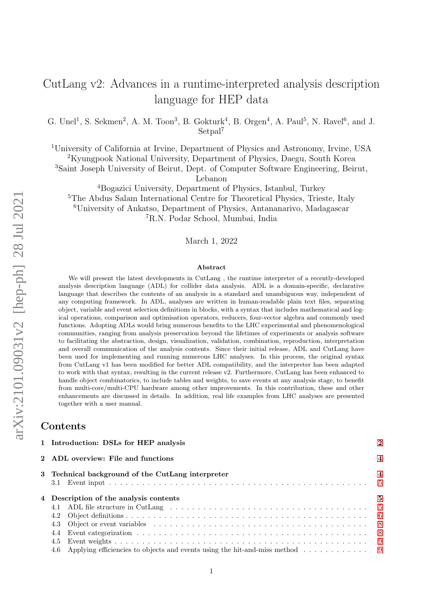# CutLang v2: Advances in a runtime-interpreted analysis description language for HEP data

G. Unel<sup>1</sup>, S. Sekmen<sup>2</sup>, A. M. Toon<sup>3</sup>, B. Gokturk<sup>4</sup>, B. Orgen<sup>4</sup>, A. Paul<sup>5</sup>, N. Ravel<sup>6</sup>, and J. Setpal<sup>7</sup>

<sup>1</sup>University of California at Irvine, Department of Physics and Astronomy, Irvine, USA

<sup>2</sup>Kyungpook National University, Department of Physics, Daegu, South Korea

<sup>3</sup>Saint Joseph University of Beirut, Dept. of Computer Software Engineering, Beirut,

Lebanon

Bogazici University, Department of Physics, Istanbul, Turkey The Abdus Salam International Centre for Theoretical Physics, Trieste, Italy University of Ankatso, Department of Physics, Antananarivo, Madagascar R.N. Podar School, Mumbai, India

March 1, 2022

### Abstract

We will present the latest developments in CutLang , the runtime interpreter of a recently-developed analysis description language (ADL) for collider data analysis. ADL is a domain-specific, declarative language that describes the contents of an analysis in a standard and unambiguous way, independent of any computing framework. In ADL, analyses are written in human-readable plain text files, separating object, variable and event selection definitions in blocks, with a syntax that includes mathematical and logical operations, comparison and optimisation operators, reducers, four-vector algebra and commonly used functions. Adopting ADLs would bring numerous benefits to the LHC experimental and phenomenological communities, ranging from analysis preservation beyond the lifetimes of experiments or analysis software to facilitating the abstraction, design, visualization, validation, combination, reproduction, interpretation and overall communication of the analysis contents. Since their initial release, ADL and CutLang have been used for implementing and running numerous LHC analyses. In this process, the original syntax from CutLang v1 has been modified for better ADL compatibility, and the interpreter has been adapted to work with that syntax, resulting in the current release v2. Furthermore, CutLang has been enhanced to handle object combinatorics, to include tables and weights, to save events at any analysis stage, to benefit from multi-core/multi-CPU hardware among other improvements. In this contribution, these and other enhancements are discussed in details. In addition, real life examples from LHC analyses are presented together with a user manual.

## Contents

|                                                   | 1 Introduction: DSLs for HEP analysis                                                                                    |  |  |  |  |  |
|---------------------------------------------------|--------------------------------------------------------------------------------------------------------------------------|--|--|--|--|--|
|                                                   | 2 ADL overview: File and functions                                                                                       |  |  |  |  |  |
| 3 Technical background of the CutLang interpreter |                                                                                                                          |  |  |  |  |  |
|                                                   |                                                                                                                          |  |  |  |  |  |
|                                                   | 4 Description of the analysis contents                                                                                   |  |  |  |  |  |
|                                                   |                                                                                                                          |  |  |  |  |  |
|                                                   | 4.2                                                                                                                      |  |  |  |  |  |
|                                                   |                                                                                                                          |  |  |  |  |  |
|                                                   | Event categorization $\ldots \ldots \ldots \ldots \ldots \ldots \ldots \ldots \ldots \ldots \ldots \ldots \ldots$<br>4.4 |  |  |  |  |  |
|                                                   | 4.5                                                                                                                      |  |  |  |  |  |
|                                                   |                                                                                                                          |  |  |  |  |  |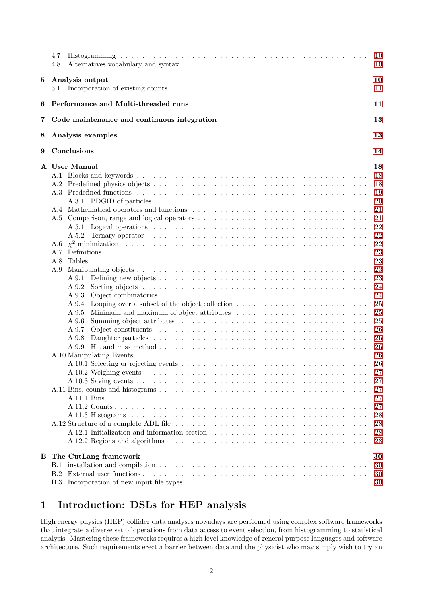|          | 4.7<br>4.8                                                                                                                                                                         | 10<br><sup>10</sup>                                                                                                                                                                                |  |  |  |  |  |
|----------|------------------------------------------------------------------------------------------------------------------------------------------------------------------------------------|----------------------------------------------------------------------------------------------------------------------------------------------------------------------------------------------------|--|--|--|--|--|
| $\bf{5}$ | Analysis output                                                                                                                                                                    | 10<br>11                                                                                                                                                                                           |  |  |  |  |  |
| 6        | Performance and Multi-threaded runs<br>11                                                                                                                                          |                                                                                                                                                                                                    |  |  |  |  |  |
| 7        | Code maintenance and continuous integration                                                                                                                                        | 13                                                                                                                                                                                                 |  |  |  |  |  |
| 8        | Analysis examples                                                                                                                                                                  | 13                                                                                                                                                                                                 |  |  |  |  |  |
| 9        | Conclusions                                                                                                                                                                        | 14                                                                                                                                                                                                 |  |  |  |  |  |
|          | A User Manual<br>A.2<br>A.6<br>A.7<br>A.8<br>A.9<br>A.9.1<br>A.9.2<br>A.9.3<br>A.9.4<br>A.9.5<br>A.9.6<br>A.9.7<br>A.9.8<br>A.9.9<br>A.12.1 Initialization and information section | 18<br>18<br>18<br>19<br>20<br>21<br>21<br>22<br>22<br>22<br>23<br>23<br>23<br>23<br>24<br>24<br>25<br>25<br>25<br>26<br>26<br>26<br>26<br>26<br>27<br>27<br>27<br>27<br>27<br>28<br>28<br>28<br>28 |  |  |  |  |  |
| в        | The CutLang framework<br>B.1<br>B.2<br>B.3                                                                                                                                         | 30<br>30<br>30<br>30                                                                                                                                                                               |  |  |  |  |  |

# <span id="page-1-0"></span>1 Introduction: DSLs for HEP analysis

High energy physics (HEP) collider data analyses nowadays are performed using complex software frameworks that integrate a diverse set of operations from data access to event selection, from histogramming to statistical analysis. Mastering these frameworks requires a high level knowledge of general purpose languages and software architecture. Such requirements erect a barrier between data and the physicist who may simply wish to try an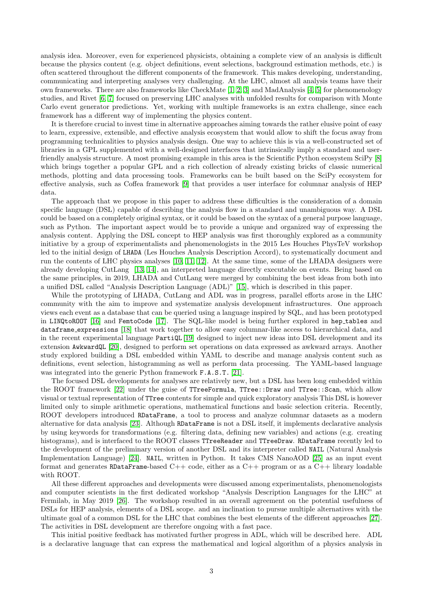analysis idea. Moreover, even for experienced physicists, obtaining a complete view of an analysis is difficult because the physics content (e.g. object definitions, event selections, background estimation methods, etc.) is often scattered throughout the different components of the framework. This makes developing, understanding, communicating and interpreting analyses very challenging. At the LHC, almost all analysis teams have their own frameworks. There are also frameworks like CheckMate [\[1,](#page-14-0) [2,](#page-14-1) [3\]](#page-14-2) and MadAnalysis [\[4,](#page-14-3) [5\]](#page-14-4) for phenomenology studies, and Rivet [\[6,](#page-14-5) [7\]](#page-14-6) focused on preserving LHC analyses with unfolded results for comparison with Monte Carlo event generator predictions. Yet, working with multiple frameworks is an extra challenge, since each framework has a different way of implementing the physics content.

It is therefore crucial to invest time in alternative approaches aiming towards the rather elusive point of easy to learn, expressive, extensible, and effective analysis ecosystem that would allow to shift the focus away from programming technicalities to physics analysis design. One way to achieve this is via a well-constructed set of libraries in a GPL supplemented with a well-designed interfaces that intrinsically imply a standard and userfriendly analysis structure. A most promising example in this area is the Scientific Python ecosystem SciPy [\[8\]](#page-14-7) which brings together a popular GPL and a rich collection of already existing bricks of classic numerical methods, plotting and data processing tools. Frameworks can be built based on the SciPy ecosystem for effective analysis, such as Coffea framework [\[9\]](#page-14-8) that provides a user interface for columnar analysis of HEP data.

The approach that we propose in this paper to address these difficulties is the consideration of a domain specific language (DSL) capable of describing the analysis flow in a standard and unambiguous way. A DSL could be based on a completely original syntax, or it could be based on the syntax of a general purpose language, such as Python. The important aspect would be to provide a unique and organized way of expressing the analysis content. Applying the DSL concept to HEP analysis was first thoroughly explored as a community initiative by a group of experimentalists and phenomenologists in the 2015 Les Houches PhysTeV workshop led to the initial design of LHADA (Les Houches Analysis Description Accord), to systematically document and run the contents of LHC physics analyses [\[10,](#page-14-9) [11,](#page-14-10) [12\]](#page-15-0). At the same time, some of the LHADA designers were already developing CutLang [\[13,](#page-15-1) [14\]](#page-15-2), an interpreted language directly executable on events. Being based on the same principles, in 2019, LHADA and CutLang were merged by combining the best ideas from both into a unified DSL called "Analysis Description Language (ADL)" [\[15\]](#page-15-3), which is described in this paper.

While the prototyping of LHADA, CutLang and ADL was in progress, parallel efforts arose in the LHC community with the aim to improve and systematize analysis development infrastructures. One approach views each event as a database that can be queried using a language inspired by SQL, and has been prototyped in LINQtoROOT [\[16\]](#page-15-4) and FemtoCode [\[17\]](#page-15-5). The SQL-like model is being further explored in hep tables and dataframe expressions [\[18\]](#page-15-6) that work together to allow easy columnar-like access to hierarchical data, and in the recent experimental language PartiQL [\[19\]](#page-15-7) designed to inject new ideas into DSL development and its extension AwkwardQL [\[20\]](#page-15-8), designed to perform set operations on data expressed as awkward arrays. Another study explored building a DSL embedded within YAML to describe and manage analysis content such as definitions, event selection, histogramming as well as perform data processing. The YAML-based language was integrated into the generic Python framework F.A.S.T. [\[21\]](#page-15-9).

The focused DSL developments for analyses are relatively new, but a DSL has been long embedded within the ROOT framework [\[22\]](#page-15-10) under the guise of TTreeFormula, TTree::Draw and TTree::Scan, which allow visual or textual representation of TTree contents for simple and quick exploratory analysis This DSL is however limited only to simple arithmetic operations, mathematical functions and basic selection criteria. Recently, ROOT developers introduced RDataFrame, a tool to process and analyze columnar datasets as a modern alternative for data analysis [\[23\]](#page-15-11). Although RDataFrame is not a DSL itself, it implements declarative analysis by using keywords for transformations (e.g. filtering data, defining new variables) and actions (e.g. creating histograms), and is interfaced to the ROOT classes TTreeReader and TTreeDraw. RDataFrame recently led to the development of the preliminary version of another DSL and its interpreter called NAIL (Natural Analysis Implementation Language) [\[24\]](#page-15-12). NAIL, written in Python. It takes CMS NanoAOD [\[25\]](#page-15-13) as an input event format and generates RDataFrame-based  $C++$  code, either as a  $C++$  program or as a  $C++$  library loadable with ROOT.

All these different approaches and developments were discussed among experimentalists, phenomenologists and computer scientists in the first dedicated workshop "Analysis Description Languages for the LHC" at Fermilab, in May 2019 [\[26\]](#page-15-14). The workshop resulted in an overall agreement on the potential usefulness of DSLs for HEP analysis, elements of a DSL scope. and an inclination to pursue multiple alternatives with the ultimate goal of a common DSL for the LHC that combines the best elements of the different approaches [\[27\]](#page-15-15). The activities in DSL development are therefore ongoing with a fast pace.

This initial positive feedback has motivated further progress in ADL, which will be described here. ADL is a declarative language that can express the mathematical and logical algorithm of a physics analysis in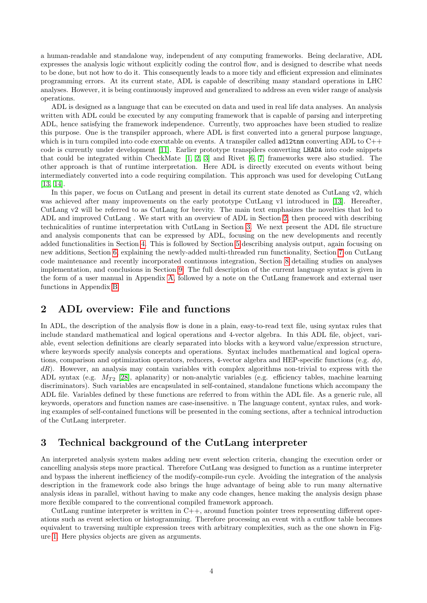a human-readable and standalone way, independent of any computing frameworks. Being declarative, ADL expresses the analysis logic without explicitly coding the control flow, and is designed to describe what needs to be done, but not how to do it. This consequently leads to a more tidy and efficient expression and eliminates programming errors. At its current state, ADL is capable of describing many standard operations in LHC analyses. However, it is being continuously improved and generalized to address an even wider range of analysis operations.

ADL is designed as a language that can be executed on data and used in real life data analyses. An analysis written with ADL could be executed by any computing framework that is capable of parsing and interpreting ADL, hence satisfying the framework independence. Currently, two approaches have been studied to realize this purpose. One is the transpiler approach, where ADL is first converted into a general purpose language, which is in turn compiled into code executable on events. A transpiler called  $\text{ad}2\text{tnm}$  converting ADL to  $C++$ code is currently under development [\[11\]](#page-14-10). Earlier prototype transpilers converting LHADA into code snippets that could be integrated within CheckMate [\[1,](#page-14-0) [2,](#page-14-1) [3\]](#page-14-2) and Rivet [\[6,](#page-14-5) [7\]](#page-14-6) frameworks were also studied. The other approach is that of runtime interpretation. Here ADL is directly executed on events without being intermediately converted into a code requiring compilation. This approach was used for developing CutLang [\[13,](#page-15-1) [14\]](#page-15-2).

In this paper, we focus on CutLang and present in detail its current state denoted as CutLang v2, which was achieved after many improvements on the early prototype CutLang v1 introduced in [\[13\]](#page-15-1). Hereafter, CutLang v2 will be referred to as CutLang for brevity. The main text emphasizes the novelties that led to ADL and improved CutLang . We start with an overview of ADL in Section [2,](#page-3-0) then proceed with describing technicalities of runtime interpretation with CutLang in Section [3.](#page-3-1) We next present the ADL file structure and analysis components that can be expressed by ADL, focusing on the new developments and recently added functionalities in Section [4.](#page-4-1) This is followed by Section [5](#page-9-2) describing analysis output, again focusing on new additions, Section [6,](#page-10-1) explaining the newly-added multi-threaded run functionality, Section [7](#page-12-0) on CutLang code maintenance and recently incorporated continuous integration, Section [8](#page-12-1) detailing studies on analyses implementation, and conclusions in Section [9.](#page-13-0) The full description of the current language syntax is given in the form of a user manual in Appendix [A,](#page-17-0) followed by a note on the CutLang framework and external user functions in Appendix [B.](#page-29-0)

## <span id="page-3-0"></span>2 ADL overview: File and functions

In ADL, the description of the analysis flow is done in a plain, easy-to-read text file, using syntax rules that include standard mathematical and logical operations and 4-vector algebra. In this ADL file, object, variable, event selection definitions are clearly separated into blocks with a keyword value/expression structure, where keywords specify analysis concepts and operations. Syntax includes mathematical and logical operations, comparison and optimization operators, reducers, 4-vector algebra and HEP-specific functions (e.g.  $d\phi$ ,  $dR$ ). However, an analysis may contain variables with complex algorithms non-trivial to express with the ADL syntax (e.g.  $M_{T2}$  [\[28\]](#page-15-16), aplanarity) or non-analytic variables (e.g. efficiency tables, machine learning discriminators). Such variables are encapsulated in self-contained, standalone functions which accompany the ADL file. Variables defined by these functions are referred to from within the ADL file. As a generic rule, all keywords, operators and function names are case-insensitive. n The language content, syntax rules, and working examples of self-contained functions will be presented in the coming sections, after a technical introduction of the CutLang interpreter.

# <span id="page-3-1"></span>3 Technical background of the CutLang interpreter

An interpreted analysis system makes adding new event selection criteria, changing the execution order or cancelling analysis steps more practical. Therefore CutLang was designed to function as a runtime interpreter and bypass the inherent inefficiency of the modify-compile-run cycle. Avoiding the integration of the analysis description in the framework code also brings the huge advantage of being able to run many alternative analysis ideas in parallel, without having to make any code changes, hence making the analysis design phase more flexible compared to the conventional compiled framework approach.

CutLang runtime interpreter is written in C++, around function pointer trees representing different operations such as event selection or histogramming. Therefore processing an event with a cutflow table becomes equivalent to traversing multiple expression trees with arbitrary complexities, such as the one shown in Figure [1.](#page-4-3) Here physics objects are given as arguments.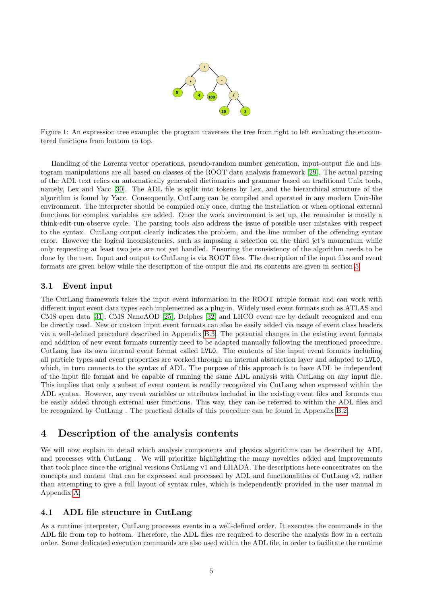

<span id="page-4-3"></span>Figure 1: An expression tree example: the program traverses the tree from right to left evaluating the encountered functions from bottom to top.

Handling of the Lorentz vector operations, pseudo-random number generation, input-output file and histogram manipulations are all based on classes of the ROOT data analysis framework [\[29\]](#page-15-17). The actual parsing of the ADL text relies on automatically generated dictionaries and grammar based on traditional Unix tools, namely, Lex and Yacc [\[30\]](#page-15-18). The ADL file is split into tokens by Lex, and the hierarchical structure of the algorithm is found by Yacc. Consequently, CutLang can be compiled and operated in any modern Unix-like environment. The interpreter should be compiled only once, during the installation or when optional external functions for complex variables are added. Once the work environment is set up, the remainder is mostly a think-edit-run-observe cycle. The parsing tools also address the issue of possible user mistakes with respect to the syntax. CutLang output clearly indicates the problem, and the line number of the offending syntax error. However the logical inconsistencies, such as imposing a selection on the third jet's momentum while only requesting at least two jets are not yet handled. Ensuring the consistency of the algorithm needs to be done by the user. Input and output to CutLang is via ROOT files. The description of the input files and event formats are given below while the description of the output file and its contents are given in section [5.](#page-9-2)

## <span id="page-4-0"></span>3.1 Event input

The CutLang framework takes the input event information in the ROOT ntuple format and can work with different input event data types each implemented as a plug-in. Widely used event formats such as ATLAS and CMS open data [\[31\]](#page-15-19), CMS NanoAOD [\[25\]](#page-15-13), Delphes [\[32\]](#page-15-20) and LHCO event are by default recognized and can be directly used. New or custom input event formats can also be easily added via usage of event class headers via a well-defined procedure described in Appendix [B.3.](#page-29-3) The potential changes in the existing event formats and addition of new event formats currently need to be adapted manually following the mentioned procedure. CutLang has its own internal event format called LVL0. The contents of the input event formats including all particle types and event properties are worked through an internal abstraction layer and adapted to LVL0, which, in turn connects to the syntax of ADL. The purpose of this approach is to have ADL be independent of the input file format and be capable of running the same ADL analysis with CutLang on any input file. This implies that only a subset of event content is readily recognized via CutLang when expressed within the ADL syntax. However, any event variables or attributes included in the existing event files and formats can be easily added through external user functions. This way, they can be referred to within the ADL files and be recognized by CutLang . The practical details of this procedure can be found in Appendix [B.2.](#page-29-2)

# <span id="page-4-1"></span>4 Description of the analysis contents

We will now explain in detail which analysis components and physics algorithms can be described by ADL and processes with CutLang . We will prioritize highlighting the many novelties added and improvements that took place since the original versions CutLang v1 and LHADA. The descriptions here concentrates on the concepts and content that can be expressed and processed by ADL and functionalities of CutLang v2, rather than attempting to give a full layout of syntax rules, which is independently provided in the user manual in Appendix [A.](#page-17-0)

## <span id="page-4-2"></span>4.1 ADL file structure in CutLang

As a runtime interpreter, CutLang processes events in a well-defined order. It executes the commands in the ADL file from top to bottom. Therefore, the ADL files are required to describe the analysis flow in a certain order. Some dedicated execution commands are also used within the ADL file, in order to facilitate the runtime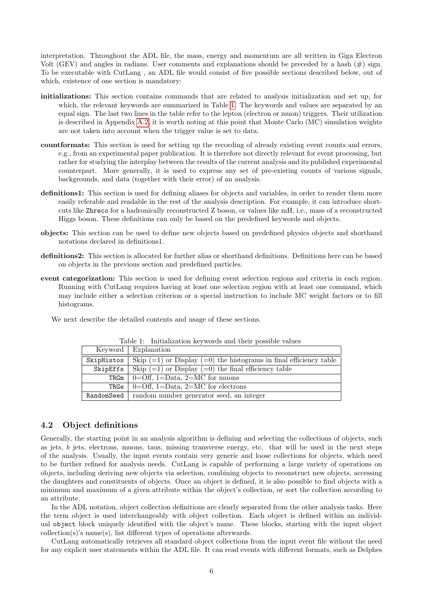interpretation. Throughout the ADL file, the mass, energy and momentum are all written in Giga Electron Volt (GEV) and angles in radians. User comments and explanations should be preceded by a hash  $(\#)$  sign. To be executable with CutLang , an ADL file would consist of five possible sections described below, out of which, existence of one section is mandatory:

- initializations: This section contains commands that are related to analysis initialization and set up, for which, the relevant keywords are summarized in Table [1.](#page-5-1) The keywords and values are separated by an equal sign. The last two lines in the table refer to the lepton (electron or muon) triggers. Their utilization is described in Appendix [A.2,](#page-17-2) it is worth noting at this point that Monte Carlo (MC) simulation weights are not taken into account when the trigger value is set to data.
- countformats: This section is used for setting up the recording of already existing event counts and errors, e.g., from an experimental paper publication. It is therefore not directly relevant for event processing, but rather for studying the interplay between the results of the current analysis and its published experimental counterpart. More generally, it is used to express any set of pre-existing counts of various signals, backgrounds, and data (together with their error) of an analysis.
- definitions1: This section is used for defining aliases for objects and variables, in order to render them more easily referable and readable in the rest of the analysis description. For example, it can introduce shortcuts like Zhreco for a hadronically reconstructed Z boson, or values like mH, i.e., mass of a reconstructed Higgs boson. These definitions can only be based on the predefined keywords and objects.
- objects: This section can be used to define new objects based on predefined physics objects and shorthand notations declared in definitions1.
- definitions2: This section is allocated for further alias or shorthand definitions. Definitions here can be based on objects in the previous section and predefined particles.
- event categorization: This section is used for defining event selection regions and criteria in each region. Running with CutLang requires having at least one selection region with at least one command, which may include either a selection criterion or a special instruction to include MC weight factors or to fill histograms.

We next describe the detailed contents and usage of these sections.

|            | Keyword   Explanation                                                  |
|------------|------------------------------------------------------------------------|
| SkipHistos | Skip $(=1)$ or Display $(=0)$ the histograms in final efficiency table |
| SkipEffs   | Skip $(=1)$ or Display $(=0)$ the final efficiency table               |
| TRGm       | $0=$ Off, 1=Data, 2=MC for muons                                       |
| TRGe       | $0=$ Off, 1=Data, 2=MC for electrons                                   |
| RandomSeed | random number generator seed, an integer                               |

<span id="page-5-1"></span>Table 1: Initialization keywords and their possible values

## <span id="page-5-0"></span>4.2 Object definitions

Generally, the starting point in an analysis algorithm is defining and selecting the collections of objects, such as jets, b jets, electrons, muons, taus, missing transverse energy, etc. that will be used in the next steps of the analysis. Usually, the input events contain very generic and loose collections for objects, which need to be further refined for analysis needs. CutLang is capable of performing a large variety of operations on objects, including deriving new objects via selection, combining objects to reconstruct new objects, accessing the daughters and constituents of objects. Once an object is defined, it is also possible to find objects with a minimum and maximum of a given attribute within the object's collection, or sort the collection according to an attribute.

In the ADL notation, object collection definitions are clearly separated from the other analysis tasks. Here the term object is used interchangeably with object collection. Each object is defined within an individual object block uniquely identified with the object's name. These blocks, starting with the input object collection(s)'s name(s), list different types of operations afterwards.

CutLang automatically retrieves all standard object collections from the input event file without the need for any explicit user statements within the ADL file. It can read events with different formats, such as Delphes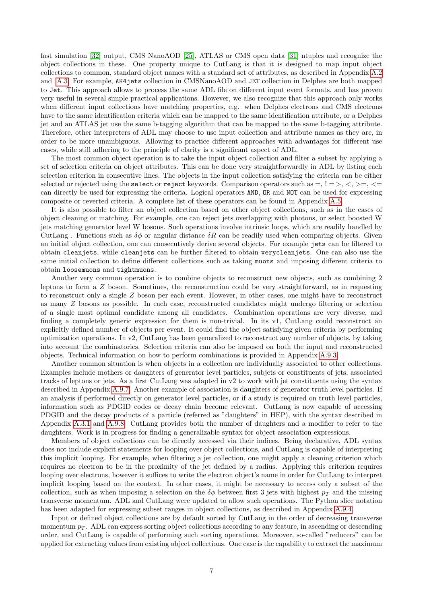fast simulation [\[32\]](#page-15-20) output, CMS NanoAOD [\[25\]](#page-15-13), ATLAS or CMS open data [\[31\]](#page-15-19) ntuples and recognize the object collections in these. One property unique to CutLang is that it is designed to map input object collections to common, standard object names with a standard set of attributes, as described in Appendix [A.2](#page-17-2) and [A.3.](#page-18-0) For example, AK4jets collection in CMSNanoAOD and JET collection in Delphes are both mapped to Jet. This approach allows to process the same ADL file on different input event formats, and has proven very useful in several simple practical applications. However, we also recognize that this approach only works when different input collections have matching properties, e.g. when Delphes electrons and CMS electrons have to the same identification criteria which can be mapped to the same identification attribute, or a Delphes jet and an ATLAS jet use the same b-tagging algorithm that can be mapped to the same b-tagging attribute. Therefore, other interpreters of ADL may choose to use input collection and attribute names as they are, in order to be more unambiguous. Allowing to practice different approaches with advantages for different use cases, while still adhering to the principle of clarity is a significant aspect of ADL.

The most common object operation is to take the input object collection and filter a subset by applying a set of selection criteria on object attributes. This can be done very straightforwardly in ADL by listing each selection criterion in consecutive lines. The objects in the input collection satisfying the criteria can be either selected or rejected using the select or reject keywords. Comparison operators such as  $=, \frac{1}{5}$ ,  $\lt$ ,  $\gt$ ,  $\lt$ can directly be used for expressing the criteria. Logical operators AND, OR and NOT can be used for expressing composite or reverted criteria. A complete list of these operators can be found in Appendix [A.5.](#page-20-1)

It is also possible to filter an object collection based on other object collections, such as in the cases of object cleaning or matching. For example, one can reject jets overlapping with photons, or select boosted W jets matching generator level W bosons. Such operations involve intrinsic loops, which are readily handled by CutLang . Functions such as  $\delta\phi$  or angular distance  $\delta R$  can be readily used when comparing objects. Given an initial object collection, one can consecutively derive several objects. For example jets can be filtered to obtain cleanjets, while cleanjets can be further filtered to obtain verycleanjets. One can also use the same initial collection to define different collections such as taking muons and imposing different criteria to obtain loosemuons and tightmuons.

Another very common operation is to combine objects to reconstruct new objects, such as combining 2 leptons to form a  $Z$  boson. Sometimes, the reconstruction could be very straightforward, as in requesting to reconstruct only a single Z boson per each event. However, in other cases, one might have to reconstruct as many Z bosons as possible. In each case, reconstructed candidates might undergo filtering or selection of a single most optimal candidate among all candidates. Combination operations are very diverse, and finding a completely generic expression for them is non-trivial. In its v1, CutLang could reconstruct an explicitly defined number of objects per event. It could find the object satisfying given criteria by performing optimization operations. In v2, CutLang has been generalized to reconstruct any number of objects, by taking into account the combinatorics. Selection criteria can also be imposed on both the input and reconstructed objects. Technical information on how to perform combinations is provided in Appendix [A.9.3.](#page-23-1)

Another common situation is when objects in a collection are individually associated to other collections. Examples include mothers or daughters of generator level particles, subjets or constituents of jets, associated tracks of leptons or jets. As a first CutLang was adapted in v2 to work with jet constituents using the syntax described in Appendix [A.9.7.](#page-25-0) Another example of association is daughters of generator truth level particles. If an analysis if performed directly on generator level particles, or if a study is required on truth level particles, information such as PDGID codes or decay chain become relevant. CutLang is now capable of accessing PDGID and the decay products of a particle (referred as "daughters" in HEP), with the syntax described in Appendix [A.3.1](#page-19-0) and [A.9.8.](#page-25-1) CutLang provides both the number of daughters and a modifier to refer to the daughters. Work is in progress for finding a generalizable syntax for object association expressions.

Members of object collections can be directly accessed via their indices. Being declarative, ADL syntax does not include explicit statements for looping over object collections, and CutLang is capable of interpreting this implicit looping. For example, when filtering a jet collection, one might apply a cleaning criterion which requires no electron to be in the proximity of the jet defined by a radius. Applying this criterion requires looping over electrons, however it suffices to write the electron object's name in order for CutLang to interpret implicit looping based on the context. In other cases, it might be necessary to access only a subset of the collection, such as when imposing a selection on the  $\delta\phi$  between first 3 jets with highest  $p_T$  and the missing transverse momentum. ADL and CutLang were updated to allow such operations. The Python slice notation has been adapted for expressing subset ranges in object collections, as described in Appendix [A.9.4.](#page-24-0)

Input or defined object collections are by default sorted by CutLang in the order of decreasing transverse momentum  $p_T$ . ADL can express sorting object collections according to any feature, in ascending or descending order, and CutLang is capable of performing such sorting operations. Moreover, so-called "reducers" can be applied for extracting values from existing object collections. One case is the capability to extract the maximum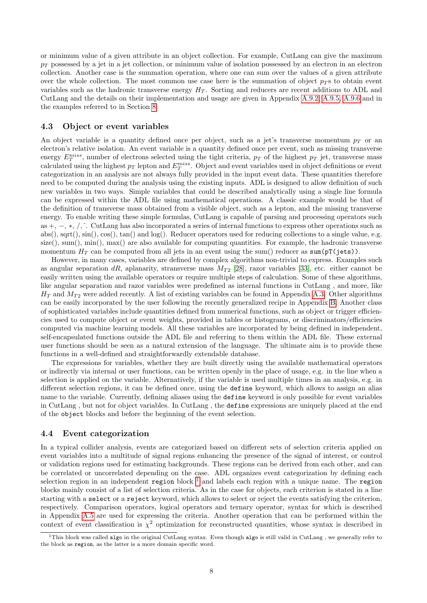or minimum value of a given attribute in an object collection. For example, CutLang can give the maximum  $p_T$  possessed by a jet in a jet collection, or minimum value of isolation possessed by an electron in an electron collection. Another case is the summation operation, where one can sum over the values of a given attribute over the whole collection. The most common use case here is the summation of object  $p_T$ s to obtain event variables such as the hadronic transverse energy  $H_T$ . Sorting and reducers are recent additions to ADL and CutLang and the details on their implementation and usage are given in Appendix [A.9.2,](#page-23-0) [A.9.5,](#page-24-1) [A.9.6](#page-24-2) and in the examples referred to in Section [8.](#page-12-1)

## <span id="page-7-0"></span>4.3 Object or event variables

An object variable is a quantity defined once per object, such as a jet's transverse momentum  $p<sub>T</sub>$  or an electron's relative isolation. An event variable is a quantity defined once per event, such as missing transverse energy  $E_T^{miss}$ , number of electrons selected using the tight criteria,  $p_T$  of the highest  $p_T$  jet, transverse mass calculated using the highest  $p_T$  lepton and  $E_T^{miss}$ . Object and event variables used in object definitions or event categorization in an analysis are not always fully provided in the input event data. These quantities therefore need to be computed during the analysis using the existing inputs. ADL is designed to allow definition of such new variables in two ways. Simple variables that could be described analytically using a single line formula can be expressed within the ADL file using mathematical operations. A classic example would be that of the definition of transverse mass obtained from a visible object, such as a lepton, and the missing transverse energy. To enable writing these simple formulas, CutLang is capable of parsing and processing operators such as +, −, ∗, /,ˆ. CutLang has also incorporated a series of internal functions to express other operations such as abs(), sqrt(), sin(), cos(), tan() and log(). Reducer operators used for reducing collections to a single value, e.g.  $size($ , sum(), min(), max() are also available for computing quantities. For example, the hadronic transverse momentum  $H_T$  can be computed from all jets in an event using the sum() reducer as sum( $pT(jets)$ ).

However, in many cases, variables are defined by complex algorithms non-trivial to express. Examples such as angular separation dR, aplanarity, stransverse mass  $M_{T2}$  [\[28\]](#page-15-16), razor variables [\[33\]](#page-15-21), etc. either cannot be easily written using the available operators or require multiple steps of calculation. Some of these algorithms, like angular separation and razor variables were predefined as internal functions in CutLang , and more, like  $H_T$  and  $M_{T2}$  were added recently. A list of existing variables can be found in Appendix [A.3.](#page-18-0) Other algorithms can be easily incorporated by the user following the recently generalized recipe in Appendix [B.](#page-29-0) Another class of sophisticated variables include quantities defined from numerical functions, such as object or trigger efficiencies used to compute object or event weights, provided in tables or histograms, or discriminators/efficiencies computed via machine learning models. All these variables are incorporated by being defined in independent, self-encapsulated functions outside the ADL file and referring to them within the ADL file. These external user functions should be seen as a natural extension of the language. The ultimate aim is to provide these functions in a well-defined and straightforwardly extendable database.

The expressions for variables, whether they are built directly using the available mathematical operators or indirectly via internal or user functions, can be written openly in the place of usage, e.g. in the line when a selection is applied on the variable. Alternatively, if the variable is used multiple times in an analysis, e.g. in different selection regions, it can be defined once, using the define keyword, which allows to assign an alias name to the variable. Currently, defining aliases using the define keyword is only possible for event variables in CutLang , but not for object variables. In CutLang , the define expressions are uniquely placed at the end of the object blocks and before the beginning of the event selection.

## <span id="page-7-1"></span>4.4 Event categorization

In a typical collider analysis, events are categorized based on different sets of selection criteria applied on event variables into a multitude of signal regions enhancing the presence of the signal of interest, or control or validation regions used for estimating backgrounds. These regions can be derived from each other, and can be correlated or uncorrelated depending on the case. ADL organizes event categorization by defining each selection region in an independent region block  $<sup>1</sup>$  $<sup>1</sup>$  $<sup>1</sup>$  and labels each region with a unique name. The region</sup> blocks mainly consist of a list of selection criteria. As in the case for objects, each criterion is stated in a line starting with a select or a reject keyword, which allows to select or reject the events satisfying the criterion, respectively. Comparison operators, logical operators and ternary operator, syntax for which is described in Appendix [A.5](#page-20-1) are used for expressing the criteria. Another operation that can be performed within the context of event classification is  $\chi^2$  optimization for reconstructed quantities, whose syntax is described in

<span id="page-7-2"></span><sup>&</sup>lt;sup>1</sup>This block was called algo in the original CutLang syntax. Even though algo is still valid in CutLang, we generally refer to the block as region, as the latter is a more domain specific word.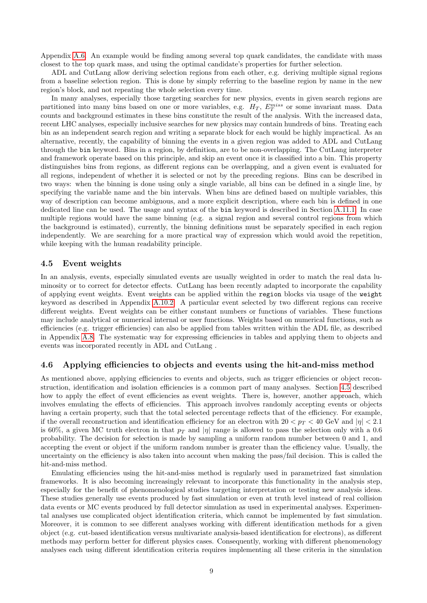Appendix [A.6.](#page-21-2) An example would be finding among several top quark candidates, the candidate with mass closest to the top quark mass, and using the optimal candidate's properties for further selection.

ADL and CutLang allow deriving selection regions from each other, e.g. deriving multiple signal regions from a baseline selection region. This is done by simply referring to the baseline region by name in the new region's block, and not repeating the whole selection every time.

In many analyses, especially those targeting searches for new physics, events in given search regions are partitioned into many bins based on one or more variables, e.g.  $H_T$ ,  $E_T^{miss}$  or some invariant mass. Data counts and background estimates in these bins constitute the result of the analysis. With the increased data, recent LHC analyses, especially inclusive searches for new physics may contain hundreds of bins. Treating each bin as an independent search region and writing a separate block for each would be highly impractical. As an alternative, recently, the capability of binning the events in a given region was added to ADL and CutLang through the bin keyword. Bins in a region, by definition, are to be non-overlapping. The CutLang interpreter and framework operate based on this principle, and skip an event once it is classified into a bin. This property distinguishes bins from regions, as different regions can be overlapping, and a given event is evaluated for all regions, independent of whether it is selected or not by the preceding regions. Bins can be described in two ways: when the binning is done using only a single variable, all bins can be defined in a single line, by specifying the variable name and the bin intervals. When bins are defined based on multiple variables, this way of description can become ambiguous, and a more explicit description, where each bin is defined in one dedicated line can be used. The usage and syntax of the bin keyword is described in Section [A.11.1.](#page-26-3) In case multiple regions would have the same binning (e.g. a signal region and several control regions from which the background is estimated), currently, the binning definitions must be separately specified in each region independently. We are searching for a more practical way of expression which would avoid the repetition, while keeping with the human readability principle.

## <span id="page-8-0"></span>4.5 Event weights

In an analysis, events, especially simulated events are usually weighted in order to match the real data luminosity or to correct for detector effects. CutLang has been recently adapted to incorporate the capability of applying event weights. Event weights can be applied within the region blocks via usage of the weight keyword as described in Appendix [A.10.2.](#page-26-0) A particular event selected by two different regions can receive different weights. Event weights can be either constant numbers or functions of variables. These functions may include analytical or numerical internal or user functions. Weights based on numerical functions, such as efficiencies (e.g. trigger efficiencies) can also be applied from tables written within the ADL file, as described in Appendix [A.8.](#page-22-1) The systematic way for expressing efficiencies in tables and applying them to objects and events was incorporated recently in ADL and CutLang .

## <span id="page-8-1"></span>4.6 Applying efficiencies to objects and events using the hit-and-miss method

As mentioned above, applying efficiencies to events and objects, such as trigger efficiencies or object reconstruction, identification and isolation efficiencies is a common part of many analyses. Section [4.5](#page-8-0) described how to apply the effect of event efficiencies as event weights. There is, however, another approach, which involves emulating the effects of efficiencies. This approach involves randomly accepting events or objects having a certain property, such that the total selected percentage reflects that of the efficiency. For example, if the overall reconstruction and identification efficiency for an electron with  $20 < p_T < 40$  GeV and  $|\eta| < 2.1$ is 60%, a given MC truth electron in that  $p_T$  and  $|\eta|$  range is allowed to pass the selection only with a 0.6 probability. The decision for selection is made by sampling a uniform random number between 0 and 1, and accepting the event or object if the uniform random number is greater than the efficiency value. Usually, the uncertainty on the efficiency is also taken into account when making the pass/fail decision. This is called the hit-and-miss method.

Emulating efficiencies using the hit-and-miss method is regularly used in parametrized fast simulation frameworks. It is also becoming increasingly relevant to incorporate this functionality in the analysis step, especially for the benefit of phenomenological studies targeting interpretation or testing new analysis ideas. These studies generally use events produced by fast simulation or even at truth level instead of real collision data events or MC events produced by full detector simulation as used in experimental analyses. Experimental analyses use complicated object identification criteria, which cannot be implemented by fast simulation. Moreover, it is common to see different analyses working with different identification methods for a given object (e.g. cut-based identification versus multivariate analysis-based identification for electrons), as different methods may perform better for different physics cases. Consequently, working with different phenomenology analyses each using different identification criteria requires implementing all these criteria in the simulation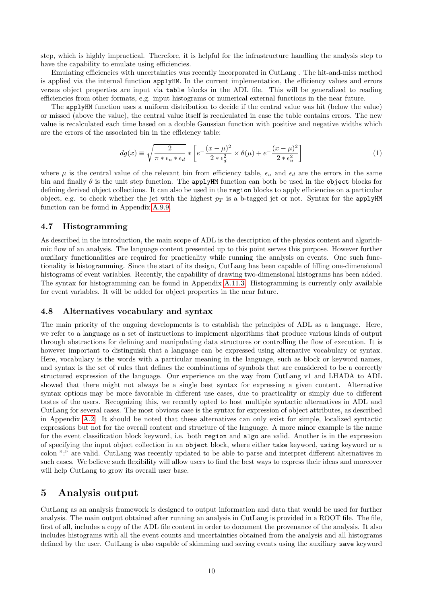step, which is highly impractical. Therefore, it is helpful for the infrastructure handling the analysis step to have the capability to emulate using efficiencies.

Emulating efficiencies with uncertainties was recently incorporated in CutLang . The hit-and-miss method is applied via the internal function applyHM. In the current implementation, the efficiency values and errors versus object properties are input via table blocks in the ADL file. This will be generalized to reading efficiencies from other formats, e.g. input histograms or numerical external functions in the near future.

The applyHM function uses a uniform distribution to decide if the central value was hit (below the value) or missed (above the value), the central value itself is recalculated in case the table contains errors. The new value is recalculated each time based on a double Gaussian function with positive and negative widths which are the errors of the associated bin in the efficiency table:

$$
dg(x) \equiv \sqrt{\frac{2}{\pi * \epsilon_u * \epsilon_d}} * \left[ e^{-\frac{(x-\mu)^2}{2} \times \theta(\mu) + e^{-\frac{(x-\mu)^2}{2} \cdot \epsilon_u^2}} \right]
$$
(1)

where  $\mu$  is the central value of the relevant bin from efficiency table,  $\epsilon_u$  and  $\epsilon_d$  are the errors in the same bin and finally  $\theta$  is the unit step function. The applyHM function can both be used in the object blocks for defining derived object collections. It can also be used in the region blocks to apply efficiencies on a particular object, e.g. to check whether the jet with the highest  $p<sub>T</sub>$  is a b-tagged jet or not. Syntax for the applyHM function can be found in Appendix [A.9.9.](#page-25-2)

## <span id="page-9-0"></span>4.7 Histogramming

As described in the introduction, the main scope of ADL is the description of the physics content and algorithmic flow of an analysis. The language content presented up to this point serves this purpose. However further auxiliary functionalities are required for practicality while running the analysis on events. One such functionality is histogramming. Since the start of its design, CutLang has been capable of filling one-dimensional histograms of event variables. Recently, the capability of drawing two-dimensional histograms has been added. The syntax for histogramming can be found in Appendix [A.11.3.](#page-27-0) Histogramming is currently only available for event variables. It will be added for object properties in the near future.

## <span id="page-9-1"></span>4.8 Alternatives vocabulary and syntax

The main priority of the ongoing developments is to establish the principles of ADL as a language. Here, we refer to a language as a set of instructions to implement algorithms that produce various kinds of output through abstractions for defining and manipulating data structures or controlling the flow of execution. It is however important to distinguish that a language can be expressed using alternative vocabulary or syntax. Here, vocabulary is the words with a particular meaning in the language, such as block or keyword names, and syntax is the set of rules that defines the combinations of symbols that are considered to be a correctly structured expression of the language. Our experience on the way from CutLang v1 and LHADA to ADL showed that there might not always be a single best syntax for expressing a given content. Alternative syntax options may be more favorable in different use cases, due to practicality or simply due to different tastes of the users. Recognizing this, we recently opted to host multiple syntactic alternatives in ADL and CutLang for several cases. The most obvious case is the syntax for expression of object attributes, as described in Appendix [A.2.](#page-17-2) It should be noted that these alternatives can only exist for simple, localized syntactic expressions but not for the overall content and structure of the language. A more minor example is the name for the event classification block keyword, i.e. both region and algo are valid. Another is in the expression of specifying the input object collection in an object block, where either take keyword, using keyword or a colon ":" are valid. CutLang was recently updated to be able to parse and interpret different alternatives in such cases. We believe such flexibility will allow users to find the best ways to express their ideas and moreover will help CutLang to grow its overall user base.

## <span id="page-9-2"></span>5 Analysis output

CutLang as an analysis framework is designed to output information and data that would be used for further analysis. The main output obtained after running an analysis in CutLang is provided in a ROOT file. The file, first of all, includes a copy of the ADL file content in order to document the provenance of the analysis. It also includes histograms with all the event counts and uncertainties obtained from the analysis and all histograms defined by the user. CutLang is also capable of skimming and saving events using the auxiliary save keyword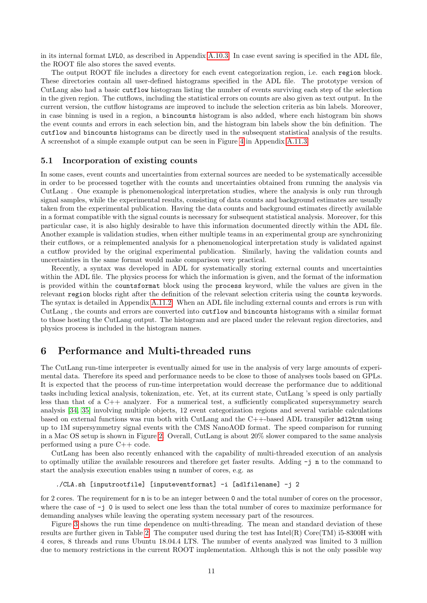in its internal format LVL0, as described in Appendix [A.10.3.](#page-26-1) In case event saving is specified in the ADL file, the ROOT file also stores the saved events.

The output ROOT file includes a directory for each event categorization region, i.e. each region block. These directories contain all user-defined histograms specified in the ADL file. The prototype version of CutLang also had a basic cutflow histogram listing the number of events surviving each step of the selection in the given region. The cutflows, including the statistical errors on counts are also given as text output. In the current version, the cutflow histograms are improved to include the selection criteria as bin labels. Moreover, in case binning is used in a region, a bincounts histogram is also added, where each histogram bin shows the event counts and errors in each selection bin, and the histogram bin labels show the bin definition. The cutflow and bincounts histograms can be directly used in the subsequent statistical analysis of the results. A screenshot of a simple example output can be seen in Figure [4](#page-28-0) in Appendix [A.11.3.](#page-27-0)

## <span id="page-10-0"></span>5.1 Incorporation of existing counts

In some cases, event counts and uncertainties from external sources are needed to be systematically accessible in order to be processed together with the counts and uncertainties obtained from running the analysis via CutLang . One example is phenomenological interpretation studies, where the analysis is only run through signal samples, while the experimental results, consisting of data counts and background estimates are usually taken from the experimental publication. Having the data counts and background estimates directly available in a format compatible with the signal counts is necessary for subsequent statistical analysis. Moreover, for this particular case, it is also highly desirable to have this information documented directly within the ADL file. Another example is validation studies, when either multiple teams in an experimental group are synchronizing their cutflows, or a reimplemented analysis for a phenomenological interpretation study is validated against a cutflow provided by the original experimental publication. Similarly, having the validation counts and uncertainties in the same format would make comparison very practical.

Recently, a syntax was developed in ADL for systematically storing external counts and uncertainties within the ADL file. The physics process for which the information is given, and the format of the information is provided within the countsformat block using the process keyword, while the values are given in the relevant region blocks right after the definition of the relevant selection criteria using the counts keywords. The syntax is detailed in Appendix [A.11.2.](#page-26-4) When an ADL file including external counts and errors is run with CutLang , the counts and errors are converted into cutflow and bincounts histograms with a similar format to those hosting the CutLang output. The histogram and are placed under the relevant region directories, and physics process is included in the histogram names.

## <span id="page-10-1"></span>6 Performance and Multi-threaded runs

The CutLang run-time interpreter is eventually aimed for use in the analysis of very large amounts of experimental data. Therefore its speed and performance needs to be close to those of analyses tools based on GPLs. It is expected that the process of run-time interpretation would decrease the performance due to additional tasks including lexical analysis, tokenization, etc. Yet, at its current state, CutLang 's speed is only partially less than that of a C++ analyzer. For a numerical test, a sufficiently complicated supersymmetry search analysis [\[34,](#page-15-22) [35\]](#page-15-23) involving multiple objects, 12 event categorization regions and several variable calculations based on external functions was run both with CutLang and the C++-based ADL transpiler adl2tnm using up to 1M supersymmetry signal events with the CMS NanoAOD format. The speed comparison for running in a Mac OS setup is shown in Figure [2.](#page-11-0) Overall, CutLang is about 20% slower compared to the same analysis performed using a pure C++ code.

CutLang has been also recently enhanced with the capability of multi-threaded execution of an analysis to optimally utilize the available resources and therefore get faster results. Adding -j n to the command to start the analysis execution enables using n number of cores, e.g. as

### ./CLA.sh [inputrootfile] [inputeventformat] -i [adlfilename] -j 2

for 2 cores. The requirement for n is to be an integer between 0 and the total number of cores on the processor, where the case of  $-j$  0 is used to select one less than the total number of cores to maximize performance for demanding analyses while leaving the operating system necessary part of the resources.

Figure [3](#page-11-1) shows the run time dependence on multi-threading. The mean and standard deviation of these results are further given in Table [2.](#page-12-2) The computer used during the test has  $Intel(R) Core(TM)$  i5-8300H with 4 cores, 8 threads and runs Ubuntu 18.04.4 LTS. The number of events analyzed was limited to 3 million due to memory restrictions in the current ROOT implementation. Although this is not the only possible way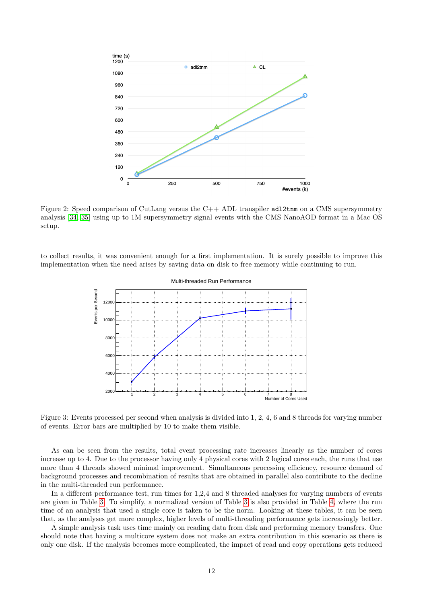

<span id="page-11-0"></span>Figure 2: Speed comparison of CutLang versus the C++ ADL transpiler adl2tnm on a CMS supersymmetry analysis [\[34,](#page-15-22) [35\]](#page-15-23) using up to 1M supersymmetry signal events with the CMS NanoAOD format in a Mac OS setup.

to collect results, it was convenient enough for a first implementation. It is surely possible to improve this implementation when the need arises by saving data on disk to free memory while continuing to run.



<span id="page-11-1"></span>Figure 3: Events processed per second when analysis is divided into 1, 2, 4, 6 and 8 threads for varying number of events. Error bars are multiplied by 10 to make them visible.

As can be seen from the results, total event processing rate increases linearly as the number of cores increase up to 4. Due to the processor having only 4 physical cores with 2 logical cores each, the runs that use more than 4 threads showed minimal improvement. Simultaneous processing efficiency, resource demand of background processes and recombination of results that are obtained in parallel also contribute to the decline in the multi-threaded run performance.

In a different performance test, run times for 1,2,4 and 8 threaded analyses for varying numbers of events are given in Table [3.](#page-12-3) To simplify, a normalized version of Table [3](#page-12-3) is also provided in Table [4,](#page-12-4) where the run time of an analysis that used a single core is taken to be the norm. Looking at these tables, it can be seen that, as the analyses get more complex, higher levels of multi-threading performance gets increasingly better.

A simple analysis task uses time mainly on reading data from disk and performing memory transfers. One should note that having a multicore system does not make an extra contribution in this scenario as there is only one disk. If the analysis becomes more complicated, the impact of read and copy operations gets reduced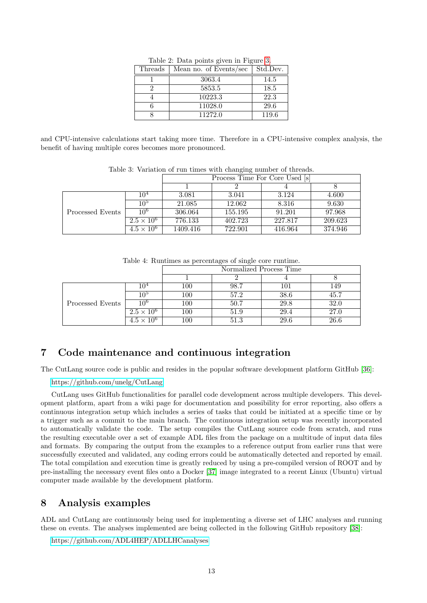| Threads | Mean no. of Events/sec | Std.Dev. |
|---------|------------------------|----------|
|         | 3063.4                 | 14.5     |
| 2       | 5853.5                 | 18.5     |
|         | 10223.3                | 22.3     |
|         | 11028.0                | 29.6     |
|         | 11272.0                | 119.6    |

<span id="page-12-2"></span>Table 2: Data points given in Figure [3.](#page-11-1)

and CPU-intensive calculations start taking more time. Therefore in a CPU-intensive complex analysis, the benefit of having multiple cores becomes more pronounced.

| Tuble of Turketon of Fair entrop with changing hannot of throwas. |                     |                                |         |         |         |
|-------------------------------------------------------------------|---------------------|--------------------------------|---------|---------|---------|
|                                                                   |                     | Process Time For Core Used [s] |         |         |         |
|                                                                   |                     |                                |         |         |         |
|                                                                   | 10 <sup>4</sup>     | 3.081                          | 3.041   | 3.124   | 4.600   |
|                                                                   | 10 <sup>5</sup>     | 21.085                         | 12.062  | 8.316   | 9.630   |
| Processed Events                                                  | $10^{6}$            | 306.064                        | 155.195 | 91.201  | 97.968  |
|                                                                   | $2.5 \times 10^{6}$ | 776.133                        | 402.723 | 227.817 | 209.623 |
|                                                                   | $4.5 \times 10^{6}$ | 1409.416                       | 722.901 | 416.964 | 374.946 |

<span id="page-12-3"></span>Table 3: Variation of run times with changing number of threads.

<span id="page-12-4"></span>Table 4: Runtimes as percentages of single core runtime.

|                  |                     | Normalized Process Time |      |      |      |  |
|------------------|---------------------|-------------------------|------|------|------|--|
|                  |                     |                         |      |      |      |  |
|                  | $10^4\,$            | 100                     | 98.7 | 101  | 149  |  |
|                  | $10^{\rm \circ}$    | 100                     | 57.2 | 38.6 | 45.7 |  |
| Processed Events | $10^{6}$            | 100                     | 50.7 | 29.8 | 32.0 |  |
|                  | $2.5 \times 10^{6}$ | 100                     | 51.9 | 29.4 | 27.0 |  |
|                  | $4.5 \times 10^{6}$ | 100                     | 51.3 | 29.6 | 26.6 |  |

# <span id="page-12-0"></span>7 Code maintenance and continuous integration

The CutLang source code is public and resides in the popular software development platform GitHub [\[36\]](#page-16-0):

<https://github.com/unelg/CutLang>

CutLang uses GitHub functionalities for parallel code development across multiple developers. This development platform, apart from a wiki page for documentation and possibility for error reporting, also offers a continuous integration setup which includes a series of tasks that could be initiated at a specific time or by a trigger such as a commit to the main branch. The continuous integration setup was recently incorporated to automatically validate the code. The setup compiles the CutLang source code from scratch, and runs the resulting executable over a set of example ADL files from the package on a multitude of input data files and formats. By comparing the output from the examples to a reference output from earlier runs that were successfully executed and validated, any coding errors could be automatically detected and reported by email. The total compilation and execution time is greatly reduced by using a pre-compiled version of ROOT and by pre-installing the necessary event files onto a Docker [\[37\]](#page-16-1) image integrated to a recent Linux (Ubuntu) virtual computer made available by the development platform.

## <span id="page-12-1"></span>8 Analysis examples

ADL and CutLang are continuously being used for implementing a diverse set of LHC analyses and running these on events. The analyses implemented are being collected in the following GitHub repository [\[38\]](#page-16-2):

<https://github.com/ADL4HEP/ADLLHCanalyses>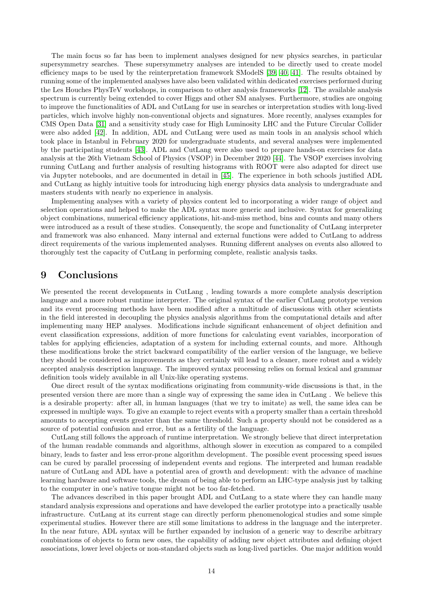The main focus so far has been to implement analyses designed for new physics searches, in particular supersymmetry searches. These supersymmetry analyses are intended to be directly used to create model efficiency maps to be used by the reinterpretation framework SModelS [\[39,](#page-16-3) [40,](#page-16-4) [41\]](#page-16-5). The results obtained by running some of the implemented analyses have also been validated within dedicated exercises performed during the Les Houches PhysTeV workshops, in comparison to other analysis frameworks [\[12\]](#page-15-0). The available analysis spectrum is currently being extended to cover Higgs and other SM analyses. Furthermore, studies are ongoing to improve the functionalities of ADL and CutLang for use in searches or interpretation studies with long-lived particles, which involve highly non-conventional objects and signatures. More recently, analyses examples for CMS Open Data [\[31\]](#page-15-19) and a sensitivity study case for High Luminosity LHC and the Future Circular Collider were also added [\[42\]](#page-16-6). In addition, ADL and CutLang were used as main tools in an analysis school which took place in Istanbul in February 2020 for undergraduate students, and several analyses were implemented by the participating students [\[43\]](#page-16-7). ADL and CutLang were also used to prepare hands-on exercises for data analysis at the 26th Vietnam School of Physics (VSOP) in December 2020 [\[44\]](#page-16-8). The VSOP exercises involving running CutLang and further analysis of resulting histograms with ROOT were also adapted for direct use via Jupyter notebooks, and are documented in detail in [\[45\]](#page-16-9). The experience in both schools justified ADL and CutLang as highly intuitive tools for introducing high energy physics data analysis to undergraduate and masters students with nearly no experience in analysis.

Implementing analyses with a variety of physics content led to incorporating a wider range of object and selection operations and helped to make the ADL syntax more generic and inclusive. Syntax for generalizing object combinations, numerical efficiency applications, hit-and-miss method, bins and counts and many others were introduced as a result of these studies. Consequently, the scope and functionality of CutLang interpreter and framework was also enhanced. Many internal and external functions were added to CutLang to address direct requirements of the various implemented analyses. Running different analyses on events also allowed to thoroughly test the capacity of CutLang in performing complete, realistic analysis tasks.

## <span id="page-13-0"></span>9 Conclusions

We presented the recent developments in CutLang , leading towards a more complete analysis description language and a more robust runtime interpreter. The original syntax of the earlier CutLang prototype version and its event processing methods have been modified after a multitude of discussions with other scientists in the field interested in decoupling the physics analysis algorithms from the computational details and after implementing many HEP analyses. Modifications include significant enhancement of object definition and event classification expressions, addition of more functions for calculating event variables, incorporation of tables for applying efficiencies, adaptation of a system for including external counts, and more. Although these modifications broke the strict backward compatibility of the earlier version of the language, we believe they should be considered as improvements as they certainly will lead to a cleaner, more robust and a widely accepted analysis description language. The improved syntax processing relies on formal lexical and grammar definition tools widely available in all Unix-like operating systems.

One direct result of the syntax modifications originating from community-wide discussions is that, in the presented version there are more than a single way of expressing the same idea in CutLang . We believe this is a desirable property: after all, in human languages (that we try to imitate) as well, the same idea can be expressed in multiple ways. To give an example to reject events with a property smaller than a certain threshold amounts to accepting events greater than the same threshold. Such a property should not be considered as a source of potential confusion and error, but as a fertility of the language.

CutLang still follows the approach of runtime interpretation. We strongly believe that direct interpretation of the human readable commands and algorithms, although slower in execution as compared to a compiled binary, leads to faster and less error-prone algorithm development. The possible event processing speed issues can be cured by parallel processing of independent events and regions. The interpreted and human readable nature of CutLang and ADL have a potential area of growth and development: with the advance of machine learning hardware and software tools, the dream of being able to perform an LHC-type analysis just by talking to the computer in one's native tongue might not be too far-fetched.

The advances described in this paper brought ADL and CutLang to a state where they can handle many standard analysis expressions and operations and have developed the earlier prototype into a practically usable infrastructure. CutLang at its current stage can directly perform phenomenological studies and some simple experimental studies. However there are still some limitations to address in the language and the interpreter. In the near future, ADL syntax will be further expanded by inclusion of a generic way to describe arbitrary combinations of objects to form new ones, the capability of adding new object attributes and defining object associations, lower level objects or non-standard objects such as long-lived particles. One major addition would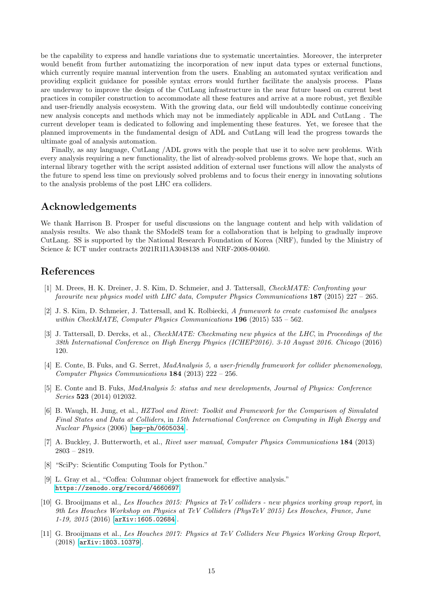be the capability to express and handle variations due to systematic uncertainties. Moreover, the interpreter would benefit from further automatizing the incorporation of new input data types or external functions, which currently require manual intervention from the users. Enabling an automated syntax verification and providing explicit guidance for possible syntax errors would further facilitate the analysis process. Plans are underway to improve the design of the CutLang infrastructure in the near future based on current best practices in compiler construction to accommodate all these features and arrive at a more robust, yet flexible and user-friendly analysis ecosystem. With the growing data, our field will undoubtedly continue conceiving new analysis concepts and methods which may not be immediately applicable in ADL and CutLang . The current developer team is dedicated to following and implementing these features. Yet, we foresee that the planned improvements in the fundamental design of ADL and CutLang will lead the progress towards the ultimate goal of analysis automation.

Finally, as any language, CutLang /ADL grows with the people that use it to solve new problems. With every analysis requiring a new functionality, the list of already-solved problems grows. We hope that, such an internal library together with the script assisted addition of external user functions will allow the analysts of the future to spend less time on previously solved problems and to focus their energy in innovating solutions to the analysis problems of the post LHC era colliders.

## Acknowledgements

We thank Harrison B. Prosper for useful discussions on the language content and help with validation of analysis results. We also thank the SModelS team for a collaboration that is helping to gradually improve CutLang. SS is supported by the National Research Foundation of Korea (NRF), funded by the Ministry of Science & ICT under contracts 2021R1I1A3048138 and NRF-2008-00460.

## References

- <span id="page-14-0"></span>[1] M. Drees, H. K. Dreiner, J. S. Kim, D. Schmeier, and J. Tattersall, CheckMATE: Confronting your favourite new physics model with LHC data, Computer Physics Communications 187 (2015) 227 – 265.
- <span id="page-14-1"></span>[2] J. S. Kim, D. Schmeier, J. Tattersall, and K. Rolbiecki, A framework to create customised lhc analyses within CheckMATE, Computer Physics Communications  $196$  (2015) 535 – 562.
- <span id="page-14-2"></span>[3] J. Tattersall, D. Dercks, et al., *CheckMATE: Checkmating new physics at the LHC*, in *Proceedings of the* 38th International Conference on High Energy Physics (ICHEP2016). 3-10 August 2016. Chicago (2016) 120.
- <span id="page-14-3"></span>[4] E. Conte, B. Fuks, and G. Serret, MadAnalysis 5, a user-friendly framework for collider phenomenology, Computer Physics Communications 184 (2013) 222 – 256.
- <span id="page-14-4"></span>[5] E. Conte and B. Fuks, MadAnalysis 5: status and new developments, Journal of Physics: Conference Series 523 (2014) 012032.
- <span id="page-14-5"></span>[6] B. Waugh, H. Jung, et al., HZTool and Rivet: Toolkit and Framework for the Comparison of Simulated Final States and Data at Colliders, in 15th International Conference on Computing in High Energy and Nuclear Physics (2006) [[hep-ph/0605034](http://arxiv.org/abs/hep-ph/0605034)].
- <span id="page-14-6"></span>[7] A. Buckley, J. Butterworth, et al., Rivet user manual, Computer Physics Communications 184 (2013) 2803 – 2819.
- <span id="page-14-7"></span>[8] "SciPy: Scientific Computing Tools for Python."
- <span id="page-14-8"></span>[9] L. Gray et al., "Coffea: Columnar object framework for effective analysis." <https://zenodo.org/record/4660697>.
- <span id="page-14-9"></span>[10] G. Brooijmans et al., Les Houches 2015: Physics at TeV colliders - new physics working group report, in 9th Les Houches Workshop on Physics at TeV Colliders (PhysTeV 2015) Les Houches, France, June 1-19, 2015 (2016) [[arXiv:1605.02684](http://arxiv.org/abs/1605.02684)].
- <span id="page-14-10"></span>[11] G. Brooijmans et al., Les Houches 2017: Physics at TeV Colliders New Physics Working Group Report, (2018) [[arXiv:1803.10379](http://arxiv.org/abs/1803.10379)].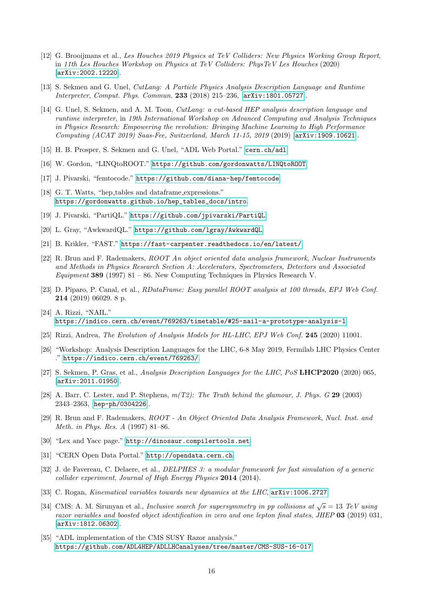- <span id="page-15-0"></span>[12] G. Brooijmans et al., Les Houches 2019 Physics at TeV Colliders: New Physics Working Group Report, in 11th Les Houches Workshop on Physics at TeV Colliders: PhysTeV Les Houches (2020) [[arXiv:2002.12220](http://arxiv.org/abs/2002.12220)].
- <span id="page-15-1"></span>[13] S. Sekmen and G. Unel, CutLang: A Particle Physics Analysis Description Language and Runtime Interpreter, Comput. Phys. Commun. 233 (2018) 215–236, [[arXiv:1801.05727](http://arxiv.org/abs/1801.05727)].
- <span id="page-15-2"></span>[14] G. Unel, S. Sekmen, and A. M. Toon, *CutLang: a cut-based HEP analysis description language and* runtime interpreter, in 19th International Workshop on Advanced Computing and Analysis Techniques in Physics Research: Empowering the revolution: Bringing Machine Learning to High Performance Computing (ACAT 2019) Saas-Fee, Switzerland, March 11-15, 2019 (2019) [[arXiv:1909.10621](http://arxiv.org/abs/1909.10621)].
- <span id="page-15-3"></span>[15] H. B. Prosper, S. Sekmen and G. Unel, "ADL Web Portal." <cern.ch/adl>.
- <span id="page-15-4"></span>[16] W. Gordon, "LINQtoROOT." <https://github.com/gordonwatts/LINQtoROOT>.
- <span id="page-15-5"></span>[17] J. Pivarski, "femtocode." <https://github.com/diana-hep/femtocode>.
- <span id="page-15-6"></span>[18] G. T. Watts, "hep tables and dataframe expressions." [https://gordonwatts.github.io/hep\\_tables\\_docs/intro](https://gordonwatts.github.io/hep_tables_docs/intro).
- <span id="page-15-7"></span>[19] J. Pivarski, "PartiQL." <https://github.com/jpivarski/PartiQL>.
- <span id="page-15-8"></span>[20] L. Gray, "AwkwardQL." <https://github.com/lgray/AwkwardQL>.
- <span id="page-15-9"></span>[21] B. Krikler, "FAST." <https://fast-carpenter.readthedocs.io/en/latest/>.
- <span id="page-15-10"></span>[22] R. Brun and F. Rademakers, ROOT An object oriented data analysis framework, Nuclear Instruments and Methods in Physics Research Section A: Accelerators, Spectrometers, Detectors and Associated Equipment 389 (1997) 81 – 86. New Computing Techniques in Physics Research V.
- <span id="page-15-11"></span>[23] D. Piparo, P. Canal, et al., RDataFrame: Easy parallel ROOT analysis at 100 threads, EPJ Web Conf. 214 (2019) 06029. 8 p.
- <span id="page-15-12"></span>[24] A. Rizzi, "NAIL." <https://indico.cern.ch/event/769263/timetable/#25-nail-a-prototype-analysis-l>.
- <span id="page-15-13"></span>[25] Rizzi, Andrea, The Evolution of Analysis Models for HL-LHC, EPJ Web Conf. 245 (2020) 11001.
- <span id="page-15-14"></span>[26] "Workshop: Analysis Description Languages for the LHC, 6-8 May 2019, Fermilab LHC Physics Center ." <https://indico.cern.ch/event/769263/>.
- <span id="page-15-15"></span>[27] S. Sekmen, P. Gras, et al., Analysis Description Languages for the LHC, PoS LHCP2020 (2020) 065, [[arXiv:2011.01950](http://arxiv.org/abs/2011.01950)].
- <span id="page-15-16"></span>[28] A. Barr, C. Lester, and P. Stephens,  $m(T2)$ : The Truth behind the glamour, J. Phys. G 29 (2003) 2343–2363, [[hep-ph/0304226](http://arxiv.org/abs/hep-ph/0304226)].
- <span id="page-15-17"></span>[29] R. Brun and F. Rademakers, ROOT - An Object Oriented Data Analysis Framework, Nucl. Inst. and Meth. in Phys. Res. A (1997) 81–86.
- <span id="page-15-18"></span>[30] "Lex and Yacc page." <http://dinosaur.compilertools.net>.
- <span id="page-15-19"></span>[31] "CERN Open Data Portal." <http://opendata.cern.ch>.
- <span id="page-15-20"></span>[32] J. de Favereau, C. Delaere, et al., DELPHES 3: a modular framework for fast simulation of a generic collider experiment, Journal of High Energy Physics 2014 (2014).
- <span id="page-15-21"></span>[33] C. Rogan, *Kinematical variables towards new dynamics at the LHC*,  $arXiv:1006.2727$ .
- <span id="page-15-22"></span>[34] CMS: A. M. Sirunyan et al., *Inclusive search for supersymmetry in pp collisions at*  $\sqrt{s} = 13$  TeV using razor variables and boosted object identification in zero and one lepton final states, JHEP 03 (2019) 031, [[arXiv:1812.06302](http://arxiv.org/abs/1812.06302)].
- <span id="page-15-23"></span>[35] "ADL implementation of the CMS SUSY Razor analysis." <https://github.com/ADL4HEP/ADLLHCanalyses/tree/master/CMS-SUS-16-017>.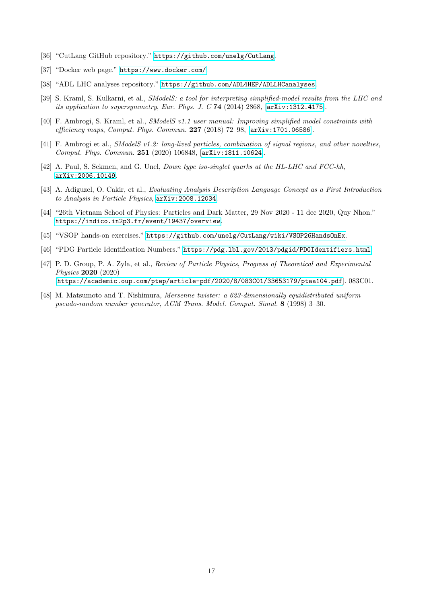- <span id="page-16-0"></span>[36] "CutLang GitHub repository." <https://github.com/unelg/CutLang>.
- <span id="page-16-1"></span>[37] "Docker web page." <https://www.docker.com/>.
- <span id="page-16-2"></span>[38] "ADL LHC analyses repository." <https://github.com/ADL4HEP/ADLLHCanalyses>.
- <span id="page-16-3"></span>[39] S. Kraml, S. Kulkarni, et al., *SModelS: a tool for interpreting simplified-model results from the LHC and* its application to supersymmetry, Eur. Phys. J. C 74 (2014) 2868, [[arXiv:1312.4175](http://arxiv.org/abs/1312.4175)].
- <span id="page-16-4"></span>[40] F. Ambrogi, S. Kraml, et al., SModelS v1.1 user manual: Improving simplified model constraints with efficiency maps, Comput. Phys. Commun. 227 (2018) 72–98, [[arXiv:1701.06586](http://arxiv.org/abs/1701.06586)].
- <span id="page-16-5"></span>[41] F. Ambrogi et al., SModelS v1.2: long-lived particles, combination of signal regions, and other novelties, Comput. Phys. Commun. 251 (2020) 106848, [[arXiv:1811.10624](http://arxiv.org/abs/1811.10624)].
- <span id="page-16-6"></span>[42] A. Paul, S. Sekmen, and G. Unel, *Down type iso-singlet quarks at the HL-LHC and FCC-hh*, [arXiv:2006.10149](http://arxiv.org/abs/2006.10149).
- <span id="page-16-7"></span>[43] A. Adiguzel, O. Cakir, et al., Evaluating Analysis Description Language Concept as a First Introduction to Analysis in Particle Physics, [arXiv:2008.12034](http://arxiv.org/abs/2008.12034).
- <span id="page-16-8"></span>[44] "26th Vietnam School of Physics: Particles and Dark Matter, 29 Nov 2020 - 11 dec 2020, Quy Nhon." <https://indico.in2p3.fr/event/19437/overview>.
- <span id="page-16-9"></span>[45] "VSOP hands-on exercises." <https://github.com/unelg/CutLang/wiki/VSOP26HandsOnEx>.
- <span id="page-16-10"></span>[46] "PDG Particle Identification Numbers." https://pdg.1bl.gov/2013/pdgid/PDGIdentifiers.html.
- <span id="page-16-11"></span>[47] P. D. Group, P. A. Zyla, et al., Review of Particle Physics, Progress of Theoretical and Experimental Physics 2020 (2020) [[https://academic.oup.com/ptep/article-pdf/2020/8/083C01/33653179/ptaa104.pdf](http://arxiv.org/abs/https://academic.oup.com/ptep/article-pdf/2020/8/083C01/33653179/ptaa104.pdf)]. 083C01.
- <span id="page-16-12"></span>[48] M. Matsumoto and T. Nishimura, Mersenne twister: a 623-dimensionally equidistributed uniform pseudo-random number generator, ACM Trans. Model. Comput. Simul. 8 (1998) 3–30.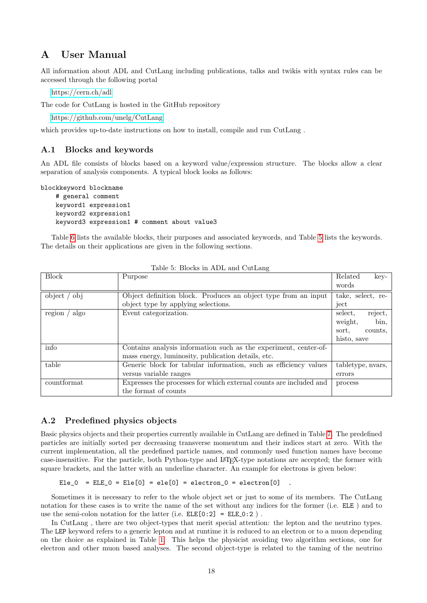# <span id="page-17-0"></span>A User Manual

All information about ADL and CutLang including publications, talks and twikis with syntax rules can be accessed through the following portal

<https://cern.ch/adl>

The code for CutLang is hosted in the GitHub repository

<https://github.com/unelg/CutLang>

which provides up-to-date instructions on how to install, compile and run CutLang.

## <span id="page-17-1"></span>A.1 Blocks and keywords

An ADL file consists of blocks based on a keyword value/expression structure. The blocks allow a clear separation of analysis components. A typical block looks as follows:

```
blockkeyword blockname
    # general comment
    keyword1 expression1
    keyword2 expression1
    keyword3 expression1 # comment about value3
```
Table [6](#page-18-1) lists the available blocks, their purposes and associated keywords, and Table [5](#page-17-3) lists the keywords. The details on their applications are given in the following sections.

| <b>Block</b>            | Purpose                                                            | Related<br>key-    |
|-------------------------|--------------------------------------------------------------------|--------------------|
|                         |                                                                    | words              |
| object /<br>obj         | Object definition block. Produces an object type from an input     | take, select, re-  |
|                         | object type by applying selections.                                | ject               |
| region $\prime$<br>algo | Event categorization.                                              | reject,<br>select. |
|                         |                                                                    | bin,<br>weight,    |
|                         |                                                                    | sort.<br>counts.   |
|                         |                                                                    | histo, save        |
| info                    | Contains analysis information such as the experiment, center-of-   |                    |
|                         | mass energy, luminosity, publication details, etc.                 |                    |
| table                   | Generic block for tabular information, such as efficiency values   | tabletype, nvars,  |
|                         | versus variable ranges                                             | errors             |
| countformat             | Expresses the processes for which external counts are included and | process            |
|                         | the format of counts                                               |                    |

<span id="page-17-3"></span>Table 5: Blocks in ADL and CutLang

## <span id="page-17-2"></span>A.2 Predefined physics objects

Basic physics objects and their properties currently available in CutLang are defined in Table [7.](#page-18-2) The predefined particles are initially sorted per decreasing transverse momentum and their indices start at zero. With the current implementation, all the predefined particle names, and commonly used function names have become case-insensitive. For the particle, both Python-type and LATEX-type notations are accepted; the former with square brackets, and the latter with an underline character. An example for electrons is given below:

Ele\_0 = ELE\_0 = Ele[0] = ele[0] = electron\_0 = electron[0]

Sometimes it is necessary to refer to the whole object set or just to some of its members. The CutLang notation for these cases is to write the name of the set without any indices for the former (i.e. ELE ) and to use the semi-colon notation for the latter (i.e.  $ELE[0:2] = ELE_0:2$ ).

In CutLang , there are two object-types that merit special attention: the lepton and the neutrino types. The LEP keyword refers to a generic lepton and at runtime it is reduced to an electron or to a muon depending on the choice as explained in Table [1.](#page-5-1) This helps the physicist avoiding two algorithm sections, one for electron and other muon based analyses. The second object-type is related to the taming of the neutrino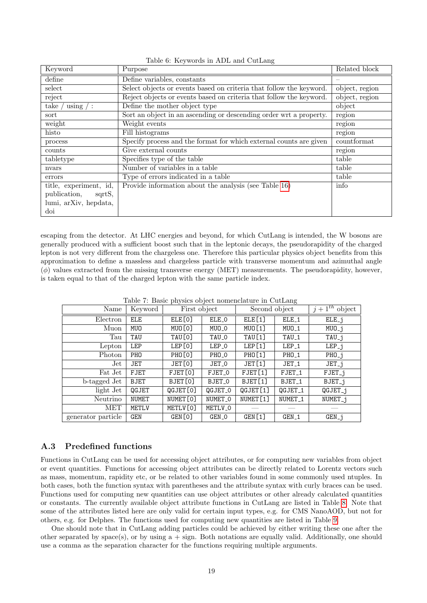| Keyword                | Purpose                                                             | Related block                |
|------------------------|---------------------------------------------------------------------|------------------------------|
| define                 | Define variables, constants                                         |                              |
| select                 | Select objects or events based on criteria that follow the keyword. | object, region               |
| reject                 | Reject objects or events based on criteria that follow the keyword. | $\overline{ob}$ ject, region |
| using / :<br>take      | Define the mother object type                                       | object                       |
| sort                   | Sort an object in an ascending or descending order wrt a property.  | region                       |
| weight                 | Weight events                                                       | region                       |
| histo                  | Fill histograms                                                     | region                       |
| process                | Specify process and the format for which external counts are given  | countformat                  |
| counts                 | Give external counts                                                | region                       |
| tabletype              | Specifies type of the table                                         | table                        |
| nvars                  | Number of variables in a table                                      | table                        |
| errors                 | Type of errors indicated in a table                                 | table                        |
| title, experiment, id, | Provide information about the analysis (see Table 16)               | info                         |
| publication,<br>sqrtS, |                                                                     |                              |
| lumi, arXiv, hepdata,  |                                                                     |                              |
| doi                    |                                                                     |                              |

<span id="page-18-1"></span>Table 6: Keywords in ADL and CutLang

escaping from the detector. At LHC energies and beyond, for which CutLang is intended, the W bosons are generally produced with a sufficient boost such that in the leptonic decays, the pseudorapidity of the charged lepton is not very different from the chargeless one. Therefore this particular physics object benefits from this approximation to define a massless and chargeless particle with transverse momentum and azimuthal angle  $(\phi)$  values extracted from the missing transverse energy (MET) measurements. The pseudorapidity, however, is taken equal to that of the charged lepton with the same particle index.

| Name               | Keyword         | First object       |                    | Second object        |                    | $j+1^{th}$ object   |
|--------------------|-----------------|--------------------|--------------------|----------------------|--------------------|---------------------|
| Electron           | <b>ELE</b>      | ELE[0]             | ELE_0              | ELE[1]               | ELE_1              | ELE_j               |
| Muon               | MUO             | MUO[0]             | MUO_O              | MUO [1]              | $MUD_1$            | $MUD_{-}j$          |
| Tau                | TAU             | TAU[0]             | TAU_0              | TAU [1]              | TAU_1              | $TAU_{-}j$          |
| Lepton             | LEP             | LEP[0]             | LEP_0              | LEP <sup>[1]</sup>   | LEP <sub>-1</sub>  | $LEP_{-}j$          |
| Photon             | PH <sub>0</sub> | PHO <sub>[0]</sub> | PH <sub>0</sub> _0 | <b>PHO[1]</b>        | PH <sub>0</sub> _1 | $PHO_{-}j$          |
| $_{\rm Jet}$       | <b>JET</b>      | JET[0]             | JET_0              | JET [1]              | JET <sub>-1</sub>  | $JET_i$             |
| Fat Jet            | <b>FJET</b>     | FJET[0]            | FJET_0             | FJET[1]              | FJET <sub>1</sub>  | FJET <sub>-</sub> j |
| b-tagged Jet       | <b>BJET</b>     | BJET[0]            | BJET_0             | BJET[1]              | BJET <sub>-1</sub> | BJET <sub>-</sub> j |
| light Jet          | QGJET           | QGJET[0]           | QGJET_0            | QGJET[1]             | QGJET_1            | $QGJET_{-}j$        |
| Neutrino           | <b>NUMET</b>    | NUMET [0]          | NUMET_O            | NUMET <sub>[1]</sub> | NUMET_1            | NUMET <sub>-1</sub> |
| <b>MET</b>         | <b>METLV</b>    | METLV[0]           | METLV_0            |                      |                    |                     |
| generator particle | <b>GEN</b>      | GEN[0]             | GEN_O              | GEN[1]               | GEN_1              | $GEN_j$             |

<span id="page-18-2"></span>Table 7: Basic physics object nomenclature in CutLang

## <span id="page-18-0"></span>A.3 Predefined functions

Functions in CutLang can be used for accessing object attributes, or for computing new variables from object or event quantities. Functions for accessing object attributes can be directly related to Lorentz vectors such as mass, momentum, rapidity etc, or be related to other variables found in some commonly used ntuples. In both cases, both the function syntax with parentheses and the attribute syntax with curly braces can be used. Functions used for computing new quantities can use object attributes or other already calculated quantities or constants. The currently available object attribute functions in CutLang are listed in Table [8.](#page-19-1) Note that some of the attributes listed here are only valid for certain input types, e.g. for CMS NanoAOD, but not for others, e.g. for Delphes. The functions used for computing new quantities are listed in Table [9.](#page-20-2)

One should note that in CutLang adding particles could be achieved by either writing these one after the other separated by space(s), or by using  $a + sign$ . Both notations are equally valid. Additionally, one should use a comma as the separation character for the functions requiring multiple arguments.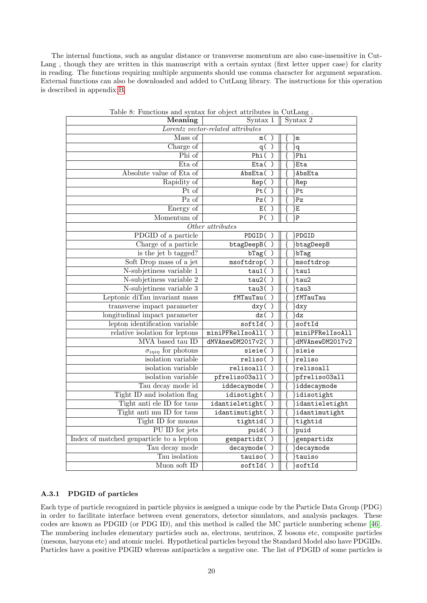The internal functions, such as angular distance or transverse momentum are also case-insensitive in Cut-Lang, though they are written in this manuscript with a certain syntax (first letter upper case) for clarity in reading. The functions requiring multiple arguments should use comma character for argument separation. External functions can also be downloaded and added to CutLang library. The instructions for this operation is described in appendix [B.](#page-29-0)

| Meaning                                  | Syntax 2            |                               |  |  |
|------------------------------------------|---------------------|-------------------------------|--|--|
| Lorentz vector-related attributes        |                     |                               |  |  |
| Mass of                                  | m(<br>$\mathcal{E}$ | ∤m                            |  |  |
| Charge of                                | $q(\overline{)}$    | ∤q                            |  |  |
| Phi of                                   | Phi()               | Phi                           |  |  |
| Eta of                                   | Eta()               | }Eta                          |  |  |
| Absolute value of Eta of                 | AbsEta()            | }AbsEta                       |  |  |
| Rapidity of                              | Rep()               | }Rep                          |  |  |
| Pt of                                    | Pt()                | }Pt                           |  |  |
| Pz of                                    | PZ()                | ∤Pz                           |  |  |
| Energy of                                | E( )                | }Ε                            |  |  |
| Momentum of                              | P()                 | }P                            |  |  |
|                                          | Other attributes    |                               |  |  |
| PDGID of a particle                      | PDGID()             | }PDGID                        |  |  |
| Charge of a particle                     | btagDeepB()         | }btagDeepB                    |  |  |
| is the jet $\overline{b}$ tagged?        | bTag()              | bTag}                         |  |  |
| Soft Drop mass of a jet                  | msoftdrop()         | msoftdrop                     |  |  |
| N-subjetiness variable 1                 | tau( )              | $\}$ tau1                     |  |  |
| N-subjetiness variable 2                 | tau2()              | tau2}                         |  |  |
| N-subjetiness variable 3                 | tau3()              | tau3}                         |  |  |
| Leptonic diTau invariant mass            | fMTauTau()          | fMTauTau}                     |  |  |
| transverse impact parameter              | $\mathrm{d} xy( )$  | }dxy                          |  |  |
| longitudinal impact parameter            | dz()                | $\overline{\mathrm{dz}}$      |  |  |
| lepton identification variable           | softId()            | softId                        |  |  |
| relative isolation for leptons           | miniPFRelIsoAll()   | miniPFRelIsoAll               |  |  |
| MVA based tau ID                         | dMVAnewDM2017v2()   | dMVAnewDM2017v2               |  |  |
| $\sigma_{i\eta i\eta}$ for photons       | sieie()             | ∤sieie                        |  |  |
| isolation variable                       | reliso()            | reliso}                       |  |  |
| isolation variable                       | relisoall()         | $\overline{\text{relis}$ call |  |  |
| isolation variable                       | pfreliso03all()     | pfreliso03all                 |  |  |
| Tau decay mode id                        | iddecaymode()       | iddecaymode                   |  |  |
| Tight ID and isolation flag              | idisotight()        | idisotight                    |  |  |
| Tight anti ele ID for taus               | idantieletight()    | dantieletight                 |  |  |
| Tight anti mu ID for taus                | idantimutight()     | idantimutight}                |  |  |
| Tight ID for muons                       | tightid()           | $\}$ tightid                  |  |  |
| PU ID for jets                           | puid()              | }puid                         |  |  |
| Index of matched genparticle to a lepton | genpartidx()        | genpartidx                    |  |  |
| Tau decay mode                           | decaymode()         | decaymode                     |  |  |
| Tau isolation                            | tauiso()            | tauiso                        |  |  |
| Muon soft ID                             | softId()            | $\sot$ cftId                  |  |  |

<span id="page-19-1"></span>Table 8: Functions and syntax for object attributes in CutLang .

## <span id="page-19-0"></span>A.3.1 PDGID of particles

Each type of particle recognized in particle physics is assigned a unique code by the Particle Data Group (PDG) in order to facilitate interface between event generators, detector simulators, and analysis packages. These codes are known as PDGID (or PDG ID), and this method is called the MC particle numbering scheme [\[46\]](#page-16-10). The numbering includes elementary particles such as, electrons, neutrinos, Z bosons etc, composite particles (mesons, baryons etc) and atomic nuclei. Hypothetical particles beyond the Standard Model also have PDGIDs. Particles have a positive PDGID whereas antiparticles a negative one. The list of PDGID of some particles is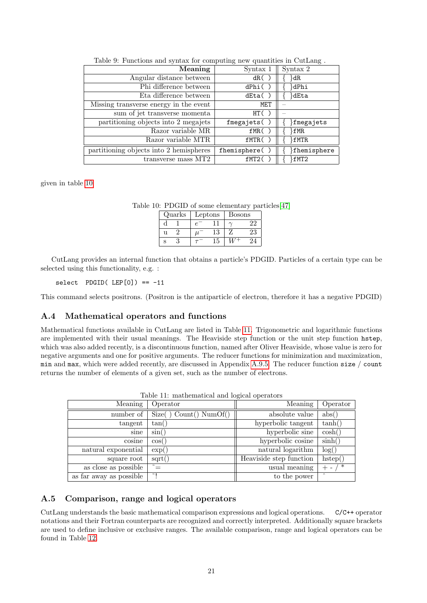| Meaning                                 | Syntax 1      | Syntax 2      |
|-----------------------------------------|---------------|---------------|
| Angular distance between                | dR()          | ∤dR           |
| Phi difference between                  | dPhi()        | ∤dPhi         |
| Eta difference between                  | dEta()        | }dEta         |
| Missing transverse energy in the event  | MET           |               |
| sum of jet transverse momenta           | HT()          |               |
| partitioning objects into 2 megajets    | fmegajets()   | }fmegajets    |
| Razor variable MR                       | fMR(          | }fMR          |
| Razor variable MTR                      | fMTR()        | }fMTR         |
| partitioning objects into 2 hemispheres | fhemisphere() | {fhemisphere} |
| transverse mass MT2                     | fMT2(         | fMT2}         |

<span id="page-20-2"></span>Table 9: Functions and syntax for computing new quantities in CutLang .

given in table [10](#page-20-3)

Table 10: PDGID of some elementary particles[\[47\]](#page-16-11)

<span id="page-20-3"></span>

| Quarks |  | Leptons | <b>Bosons</b> |    |
|--------|--|---------|---------------|----|
|        |  |         |               |    |
|        |  |         |               | 23 |
|        |  |         |               |    |

CutLang provides an internal function that obtains a particle's PDGID. Particles of a certain type can be selected using this functionality, e.g. :

 $select$  PDGID(  $LEP[0]) == -11$ 

This command selects positrons. (Positron is the antiparticle of electron, therefore it has a negative PDGID)

## <span id="page-20-0"></span>A.4 Mathematical operators and functions

Mathematical functions available in CutLang are listed in Table [11.](#page-20-4) Trigonometric and logarithmic functions are implemented with their usual meanings. The Heaviside step function or the unit step function hstep, which was also added recently, is a discontinuous function, named after Oliver Heaviside, whose value is zero for negative arguments and one for positive arguments. The reducer functions for minimization and maximization, min and max, which were added recently, are discussed in Appendix [A.9.5.](#page-24-1) The reducer function size / count returns the number of elements of a given set, such as the number of electrons.

| Meaning                 | Operator                | Meaning                 | Operator                |
|-------------------------|-------------------------|-------------------------|-------------------------|
| number of               | Size( ) Count() NumOf() | absolute value          | $\mathrm{abs}()$        |
| tangent                 | tan()                   | hyperbolic tangent      | tanh()                  |
| sine                    | $\sin()$                | hyperbolic sine         | $\cosh()$               |
| cosine                  | $\cos()$                | hyperbolic cosine       | sinh()                  |
| natural exponential     | $\exp()$                | natural logarithm       | log()                   |
| square root             | sqrt()                  | Heaviside step function | hstep()                 |
| as close as possible    |                         | usual meaning           | $\ast$                  |
| as far away as possible |                         | to the power            | $\widehat{\phantom{a}}$ |

<span id="page-20-4"></span>Table 11: mathematical and logical operators

## <span id="page-20-1"></span>A.5 Comparison, range and logical operators

CutLang understands the basic mathematical comparison expressions and logical operations. C/C++ operator notations and their Fortran counterparts are recognized and correctly interpreted. Additionally square brackets are used to define inclusive or exclusive ranges. The available comparison, range and logical operators can be found in Table [12.](#page-21-3)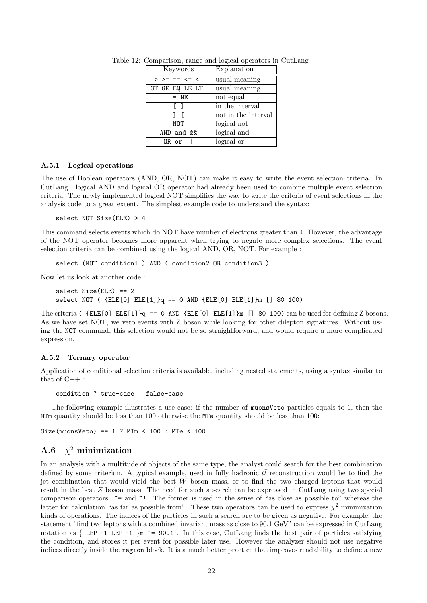<span id="page-21-3"></span>

| Keywords                | Explanation         |  |
|-------------------------|---------------------|--|
| $>$ >= == $\leq$ $\leq$ | usual meaning       |  |
| GT GE EQ LE LT          | usual meaning       |  |
| $!=$ NE                 | not equal           |  |
| ΓI                      | in the interval     |  |
| 1 F                     | not in the interval |  |
| NOT                     | logical not         |  |
| AND and &&              | logical and         |  |
| OR or II                | logical or          |  |

Table 12: Comparison, range and logical operators in CutLang

### <span id="page-21-0"></span>A.5.1 Logical operations

The use of Boolean operators (AND, OR, NOT) can make it easy to write the event selection criteria. In CutLang , logical AND and logical OR operator had already been used to combine multiple event selection criteria. The newly implemented logical NOT simplifies the way to write the criteria of event selections in the analysis code to a great extent. The simplest example code to understand the syntax:

select NOT Size(ELE) > 4

This command selects events which do NOT have number of electrons greater than 4. However, the advantage of the NOT operator becomes more apparent when trying to negate more complex selections. The event selection criteria can be combined using the logical AND, OR, NOT. For example :

select (NOT condition1 ) AND ( condition2 OR condition3 )

Now let us look at another code :

```
select Size(ELE) == 2
select NOT ({ELE[0]} ELE[1]q == 0 AND {ELE[0]} ELE[1]m [] 80 100)
```
The criteria ( $\{ELE[0]E[E[1]\}q == 0$  AND  $\{ELE[0]E[E[1]\}m$  [] 80 100) can be used for defining Z bosons. As we have set NOT, we veto events with Z boson while looking for other dilepton signatures. Without using the NOT command, this selection would not be so straightforward, and would require a more complicated expression.

### <span id="page-21-1"></span>A.5.2 Ternary operator

Application of conditional selection criteria is available, including nested statements, using a syntax similar to that of  $C_{++}$ :

condition ? true-case : false-case

The following example illustrates a use case: if the number of muonsVeto particles equals to 1, then the MTm quantity should be less than 100 otherwise the MTe quantity should be less than 100:

Size(muonsVeto) == 1 ? MTm < 100 : MTe < 100

#### <span id="page-21-2"></span> $A.6$  $\chi^2$  minimization

In an analysis with a multitude of objects of the same type, the analyst could search for the best combination defined by some criterion. A typical example, used in fully hadronic  $t\bar{t}$  reconstruction would be to find the jet combination that would yield the best  $W$  boson mass, or to find the two charged leptons that would result in the best Z boson mass. The need for such a search can be expressed in CutLang using two special comparison operators:  $\tilde{\phantom{a}}$  = and  $\tilde{\phantom{a}}$ !. The former is used in the sense of "as close as possible to" whereas the latter for calculation "as far as possible from". These two operators can be used to express  $\chi^2$  minimization kinds of operations. The indices of the particles in such a search are to be given as negative. For example, the statement "find two leptons with a combined invariant mass as close to 90.1 GeV" can be expressed in CutLang notation as  $\{$  LEP-1 LEP-1  $\}$ m  $\tilde{ }$  = 90.1. In this case, CutLang finds the best pair of particles satisfying the condition, and stores it per event for possible later use. However the analyzer should not use negative indices directly inside the region block. It is a much better practice that improves readability to define a new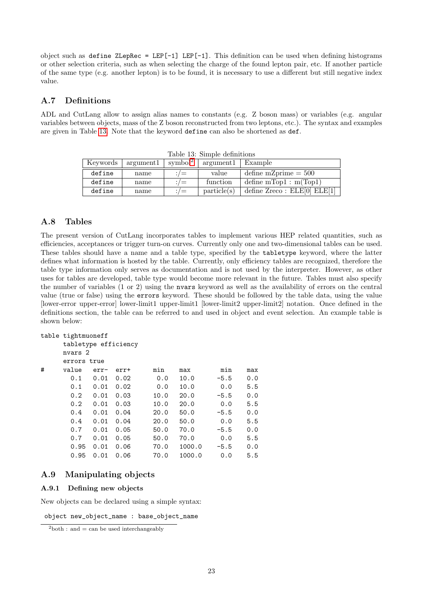object such as define  $ZLepRec = LEP[-1] LEP[-1]$ . This definition can be used when defining histograms or other selection criteria, such as when selecting the charge of the found lepton pair, etc. If another particle of the same type (e.g. another lepton) is to be found, it is necessary to use a different but still negative index value.

## <span id="page-22-0"></span>A.7 Definitions

ADL and CutLang allow to assign alias names to constants (e.g. Z boson mass) or variables (e.g. angular variables between objects, mass of the Z boson reconstructed from two leptons, etc.). The syntax and examples are given in Table [13.](#page-22-4) Note that the keyword define can also be shortened as def.

| rapic ro. Dimpic achimento |           |                     |             |                                |
|----------------------------|-----------|---------------------|-------------|--------------------------------|
| Keywords                   | argument1 | symbol <sup>2</sup> | argument1   | Example                        |
| define                     | name      | $\dot{}$ / $=$      | value       | define m $Z$ prime $= 500$     |
| define                     | name      | $\cdot$ / $=$       | function    | define $mTop1 : m(Top1)$       |
| define                     | name      | $\cdot$ / $=$       | particle(s) | define $Zreco : ELE[0] ELE[1]$ |

<span id="page-22-4"></span>Table 13: Simple definitions

## <span id="page-22-1"></span>A.8 Tables

The present version of CutLang incorporates tables to implement various HEP related quantities, such as efficiencies, acceptances or trigger turn-on curves. Currently only one and two-dimensional tables can be used. These tables should have a name and a table type, specified by the tabletype keyword, where the latter defines what information is hosted by the table. Currently, only efficiency tables are recognized, therefore the table type information only serves as documentation and is not used by the interpreter. However, as other uses for tables are developed, table type would become more relevant in the future. Tables must also specify the number of variables (1 or 2) using the nvars keyword as well as the availability of errors on the central value (true or false) using the errors keyword. These should be followed by the table data, using the value [lower-error upper-error] lower-limit1 upper-limit1 [lower-limit2 upper-limit2] notation. Once defined in the definitions section, the table can be referred to and used in object and event selection. An example table is shown below:

```
table tightmuoneff
```

```
tabletype efficiency
    nvars 2
    errors true
# value err- err+ min max min max
```

| 0.1  | 0.01 | 0.02 | 0.0  | 10.0   | $-5.5$ | 0.0 |
|------|------|------|------|--------|--------|-----|
| 0.1  | 0.01 | 0.02 | 0.0  | 10.0   | 0.0    | 5.5 |
| 0.2  | 0.01 | 0.03 | 10.0 | 20.0   | $-5.5$ | 0.0 |
| 0.2  | 0.01 | 0.03 | 10.0 | 20.0   | 0.0    | 5.5 |
| 0.4  | 0.01 | 0.04 | 20.0 | 50.0   | $-5.5$ | 0.0 |
| 0.4  | 0.01 | 0.04 | 20.0 | 50.0   | 0.0    | 5.5 |
| 0.7  | 0.01 | 0.05 | 50.0 | 70.0   | $-5.5$ | 0.0 |
| 0.7  | 0.01 | 0.05 | 50.0 | 70.0   | 0.0    | 5.5 |
| 0.95 | 0.01 | 0.06 | 70.0 | 1000.0 | $-5.5$ | 0.0 |
| 0.95 | 0.01 | 0.06 | 70.0 | 1000.0 | 0.0    | 5.5 |
|      |      |      |      |        |        |     |

## <span id="page-22-2"></span>A.9 Manipulating objects

## <span id="page-22-3"></span>A.9.1 Defining new objects

New objects can be declared using a simple syntax:

object new\_object\_name : base\_object\_name

<span id="page-22-5"></span> $^{2}$ both : and = can be used interchangeably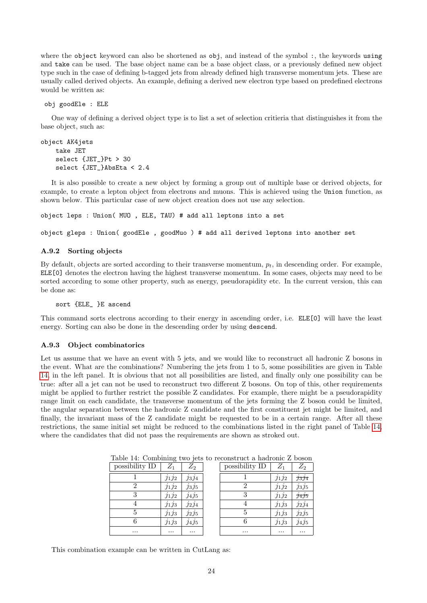where the object keyword can also be shortened as obj, and instead of the symbol :, the keywords using and take can be used. The base object name can be a base object class, or a previously defined new object type such in the case of defining b-tagged jets from already defined high transverse momentum jets. These are usually called derived objects. An example, defining a derived new electron type based on predefined electrons would be written as:

obj goodEle : ELE

One way of defining a derived object type is to list a set of selection critieria that distinguishes it from the base object, such as:

```
object AK4jets
    take JET
    select {JET }Pt > 30
    select {JET_}AbsEta < 2.4
```
It is also possible to create a new object by forming a group out of multiple base or derived objects, for example, to create a lepton object from electrons and muons. This is achieved using the Union function, as shown below. This particular case of new object creation does not use any selection.

object leps : Union( MUO , ELE, TAU) # add all leptons into a set

object gleps : Union( goodEle , goodMuo ) # add all derived leptons into another set

### <span id="page-23-0"></span>A.9.2 Sorting objects

By default, objects are sorted according to their transverse momentum,  $p_t$ , in descending order. For example, ELE[0] denotes the electron having the highest transverse momentum. In some cases, objects may need to be sorted according to some other property, such as energy, pseudorapidity etc. In the current version, this can be done as:

sort {ELE\_ }E ascend

This command sorts electrons according to their energy in ascending order, i.e. ELE[0] will have the least energy. Sorting can also be done in the descending order by using descend.

### <span id="page-23-1"></span>A.9.3 Object combinatorics

Let us assume that we have an event with 5 jets, and we would like to reconstruct all hadronic Z bosons in the event. What are the combinations? Numbering the jets from 1 to 5, some possibilities are given in Table [14,](#page-23-2) in the left panel. It is obvious that not all possibilities are listed, and finally only one possibility can be true: after all a jet can not be used to reconstruct two different Z bosons. On top of this, other requirements might be applied to further restrict the possible Z candidates. For example, there might be a pseudorapidity range limit on each candidate, the transverse momentum of the jets forming the Z boson could be limited, the angular separation between the hadronic Z candidate and the first constituent jet might be limited, and finally, the invariant mass of the Z candidate might be requested to be in a certain range. After all these restrictions, the same initial set might be reduced to the combinations listed in the right panel of Table [14,](#page-23-2) where the candidates that did not pass the requirements are shown as stroked out.

| possibility ID | $\scriptstyle Z_1$ | $Z_2$    | possibility ID | $Z_1$    | $Z_2$ |
|----------------|--------------------|----------|----------------|----------|-------|
|                | $j_1j_2$           | $j_3j_4$ |                | $j_1j_2$ | J3J4  |
| 2              | $J_1J_2$           | J3J5     | 2              | $J_1J_2$ | J3J5  |
| 3              | J1J2               | J4J5     | 3              | J1J2     | J4J5  |
|                | J1J3               | J2J4     |                | J1J3     | J2J4  |
| 5              | J1J3               | J2J5     | 5              | J1J3     | J2J5  |
|                | J1J3               | J4J5     | 6              | J1J3     | J4J5  |
| $\cdots$       | $\cdots$           | $\cdots$ | $\cdots$       | $\cdots$ | .     |

<span id="page-23-2"></span>Table 14: Combining two jets to reconstruct a hadronic Z boson

This combination example can be written in CutLang as: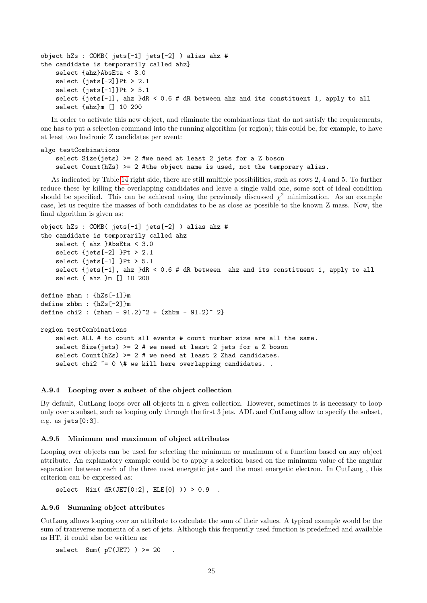```
object hZs : COMB( jets[-1] jets[-2] ) alias ahz #
the candidate is temporarily called ahz}
   select {ahz}AbsEta < 3.0
   select {jets[-2]}Pt > 2.1
   select {jets[-1]}Pt > 5.1
    select {jets[-1], ahz }dR < 0.6 # dR between ahz and its constituent 1, apply to all
    select {ahz}m [] 10 200
```
In order to activate this new object, and eliminate the combinations that do not satisfy the requirements, one has to put a selection command into the running algorithm (or region); this could be, for example, to have at least two hadronic Z candidates per event:

```
algo testCombinations
   select Size(jets) >= 2 #we need at least 2 jets for a Z boson
    select Count(hZs) >= 2 #the object name is used, not the temporary alias.
```
As indicated by Table [14](#page-23-2) right side, there are still multiple possibilities, such as rows 2, 4 and 5. To further reduce these by killing the overlapping candidates and leave a single valid one, some sort of ideal condition should be specified. This can be achieved using the previously discussed  $\chi^2$  minimization. As an example case, let us require the masses of both candidates to be as close as possible to the known Z mass. Now, the final algorithm is given as:

```
object hZs : COMB( jets[-1] jets[-2] ) alias ahz #
the candidate is temporarily called ahz
    select { ahz }AbsEta < 3.0
    select {jets[-2] }Pt > 2.1
    select {jets[-1] }Pt > 5.1
    select {jets[-1], ahz }dR < 0.6 # dR between ahz and its constituent 1, apply to all
    select { ahz }m [] 10 200
define zham : {hZs[-1]}m
define zhbm : {hZs[-2]}m
define chi2 : (zham - 91.2)^2 + (zhbm - 91.2)^2region testCombinations
    select ALL # to count all events # count number size are all the same.
    select Size(jets) >= 2 # we need at least 2 jets for a Z boson
    select Count(hZs) >= 2 # we need at least 2 Zhad candidates.
    select chi2 \varepsilon = 0 \mid # we kill here overlapping candidates..
```
### <span id="page-24-0"></span>A.9.4 Looping over a subset of the object collection

By default, CutLang loops over all objects in a given collection. However, sometimes it is necessary to loop only over a subset, such as looping only through the first 3 jets. ADL and CutLang allow to specify the subset, e.g. as jets[0:3].

### <span id="page-24-1"></span>A.9.5 Minimum and maximum of object attributes

Looping over objects can be used for selecting the minimum or maximum of a function based on any object attribute. An explanatory example could be to apply a selection based on the minimum value of the angular separation between each of the three most energetic jets and the most energetic electron. In CutLang , this criterion can be expressed as:

```
select Min( dR(JET[0:2], ELE[0]) ) > 0.9.
```
### <span id="page-24-2"></span>A.9.6 Summing object attributes

CutLang allows looping over an attribute to calculate the sum of their values. A typical example would be the sum of transverse momenta of a set of jets. Although this frequently used function is predefined and available as HT, it could also be written as:

select Sum( $pT(JET)$ ) >= 20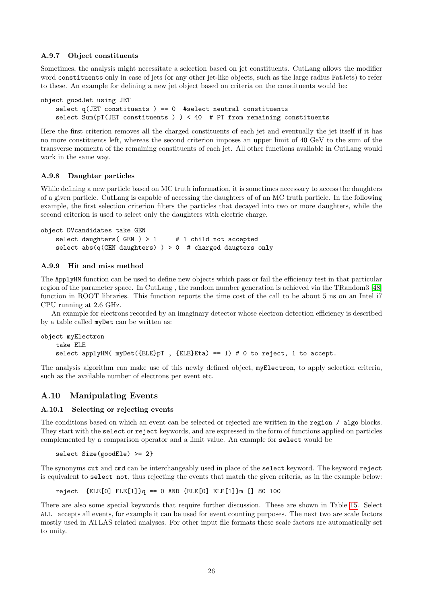### <span id="page-25-0"></span>A.9.7 Object constituents

Sometimes, the analysis might necessitate a selection based on jet constituents. CutLang allows the modifier word constituents only in case of jets (or any other jet-like objects, such as the large radius FatJets) to refer to these. An example for defining a new jet object based on criteria on the constituents would be:

```
object goodJet using JET
    select q(JET constituents ) == 0 #select neutral constituents
    select Sum(pT(JET constituents ) ) < 40 # PT from remaining constituents
```
Here the first criterion removes all the charged constituents of each jet and eventually the jet itself if it has no more constituents left, whereas the second criterion imposes an upper limit of 40 GeV to the sum of the transverse momenta of the remaining constituents of each jet. All other functions available in CutLang would work in the same way.

### <span id="page-25-1"></span>A.9.8 Daughter particles

While defining a new particle based on MC truth information, it is sometimes necessary to access the daughters of a given particle. CutLang is capable of accessing the daughters of of an MC truth particle. In the following example, the first selection criterion filters the particles that decayed into two or more daughters, while the second criterion is used to select only the daughters with electric charge.

```
object DVcandidates take GEN
    select daughters(GEN) > 1 # 1 child not accepted
    select abs(q(GEN daughters) ) > 0 # charged daugters only
```
## <span id="page-25-2"></span>A.9.9 Hit and miss method

The ApplyHM function can be used to define new objects which pass or fail the efficiency test in that particular region of the parameter space. In CutLang , the random number generation is achieved via the TRandom3 [\[48\]](#page-16-12) function in ROOT libraries. This function reports the time cost of the call to be about 5 ns on an Intel i7 CPU running at 2.6 GHz.

An example for electrons recorded by an imaginary detector whose electron detection efficiency is described by a table called myDet can be written as:

```
object myElectron
    take ELE
    select applyHM(myDet({ELE}pT, {ELE}Eta) == 1) # 0 to reject, 1 to accept.
```
The analysis algorithm can make use of this newly defined object, myElectron, to apply selection criteria, such as the available number of electrons per event etc.

## <span id="page-25-3"></span>A.10 Manipulating Events

## <span id="page-25-4"></span>A.10.1 Selecting or rejecting events

The conditions based on which an event can be selected or rejected are written in the region / algo blocks. They start with the select or reject keywords, and are expressed in the form of functions applied on particles complemented by a comparison operator and a limit value. An example for select would be

select Size(goodEle) >= 2}

The synonyms cut and cmd can be interchangeably used in place of the select keyword. The keyword reject is equivalent to select not, thus rejecting the events that match the given criteria, as in the example below:

 $reject$   ${ELE[0]}$   ${ELE[1]}$  $q == 0$   ${AND}$   ${ELE[0]}$   ${ELE[1]}$  $m$   $[$ ] 80 100

There are also some special keywords that require further discussion. These are shown in Table [15.](#page-26-5) Select ALL accepts all events, for example it can be used for event counting purposes. The next two are scale factors mostly used in ATLAS related analyses. For other input file formats these scale factors are automatically set to unity.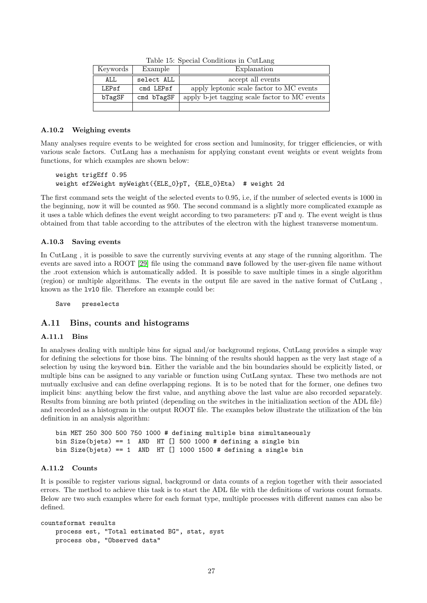| Keywords | Example    | Explanation                                   |
|----------|------------|-----------------------------------------------|
| ALL      | select ALL | accept all events                             |
| LEPsf    | cmd LEPsf  | apply leptonic scale factor to MC events      |
| bTagSF   | cmd bTagSF | apply b-jet tagging scale factor to MC events |
|          |            |                                               |

<span id="page-26-5"></span>Table 15: Special Conditions in CutLang

### <span id="page-26-0"></span>A.10.2 Weighing events

Many analyses require events to be weighted for cross section and luminosity, for trigger efficiencies, or with various scale factors. CutLang has a mechanism for applying constant event weights or event weights from functions, for which examples are shown below:

```
weight trigEff 0.95
weight ef2Weight myWeight({ELE_0}pT, {ELE_0}Eta) # weight 2d
```
The first command sets the weight of the selected events to 0.95, i.e, if the number of selected events is 1000 in the beginning, now it will be counted as 950. The second command is a slightly more complicated example as it uses a table which defines the event weight according to two parameters: pT and η. The event weight is thus obtained from that table according to the attributes of the electron with the highest transverse momentum.

## <span id="page-26-1"></span>A.10.3 Saving events

In CutLang , it is possible to save the currently surviving events at any stage of the running algorithm. The events are saved into a ROOT [\[29\]](#page-15-17) file using the command save followed by the user-given file name without the .root extension which is automatically added. It is possible to save multiple times in a single algorithm (region) or multiple algorithms. The events in the output file are saved in the native format of CutLang , known as the lvl0 file. Therefore an example could be:

Save preselects

## <span id="page-26-2"></span>A.11 Bins, counts and histograms

### <span id="page-26-3"></span>A.11.1 Bins

In analyses dealing with multiple bins for signal and/or background regions, CutLang provides a simple way for defining the selections for those bins. The binning of the results should happen as the very last stage of a selection by using the keyword bin. Either the variable and the bin boundaries should be explicitly listed, or multiple bins can be assigned to any variable or function using CutLang syntax. These two methods are not mutually exclusive and can define overlapping regions. It is to be noted that for the former, one defines two implicit bins: anything below the first value, and anything above the last value are also recorded separately. Results from binning are both printed (depending on the switches in the initialization section of the ADL file) and recorded as a histogram in the output ROOT file. The examples below illustrate the utilization of the bin definition in an analysis algorithm:

```
bin MET 250 300 500 750 1000 # defining multiple bins simultaneously
bin Size(bjets) == 1 AND HT [] 500 1000 # defining a single bin
bin Size(bjets) == 1 AND HT [] 1000 1500 # defining a single bin
```
## <span id="page-26-4"></span>A.11.2 Counts

It is possible to register various signal, background or data counts of a region together with their associated errors. The method to achieve this task is to start the ADL file with the definitions of various count formats. Below are two such examples where for each format type, multiple processes with different names can also be defined.

```
countsformat results
   process est, "Total estimated BG", stat, syst
   process obs, "Observed data"
```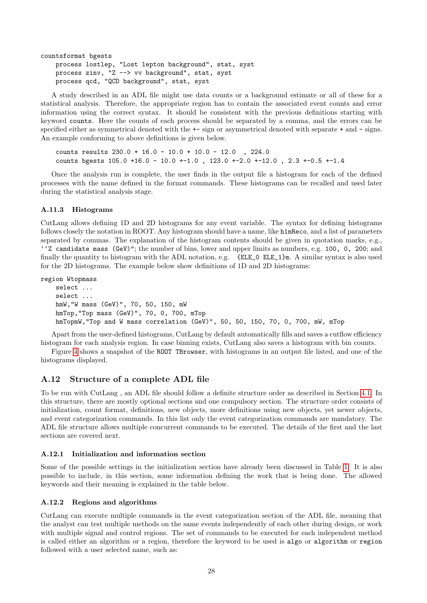```
countsformat bgests
   process lostlep, "Lost lepton background", stat, syst
   process zinv, "Z --> vv background", stat, syst
   process qcd, "QCD background", stat, syst
```
A study described in an ADL file might use data counts or a background estimate or all of these for a statistical analysis. Therefore, the appropriate region has to contain the associated event counts and error information using the correct syntax. It should be consistent with the previous definitions starting with keyword counts. Here the counts of each process should be separated by a comma, and the errors can be specified either as symmetrical denoted with the +- sign or asymmetrical denoted with separate + and - signs. An example conforming to above definitions is given below.

counts results 230.0 + 16.0 - 10.0 + 10.0 - 12.0 , 224.0 counts bgests  $105.0 +16.0 - 10.0 +1.0$ ,  $123.0 +2.0 +12.0$ ,  $2.3 +0.5 +1.4$ 

Once the analysis run is complete, the user finds in the output file a histogram for each of the defined processes with the name defined in the format commands. These histograms can be recalled and used later during the statistical analysis stage.

## <span id="page-27-0"></span>A.11.3 Histograms

CutLang allows defining 1D and 2D histograms for any event variable. The syntax for defining histograms follows closely the notation in ROOT. Any histogram should have a name, like h1mReco, and a list of parameters separated by commas. The explanation of the histogram contents should be given in quotation marks, e.g., ''Z candidate mass (GeV)"; the number of bins, lower and upper limits as numbers, e.g. 100, 0, 200; and finally the quantity to histogram with the ADL notation, e.g. {ELE 0 ELE 1}m. A similar syntax is also used for the 2D histograms. The example below show definitions of 1D and 2D histograms:

region Wtopmass

```
select ...
select ...
hmW,"W mass (GeV)", 70, 50, 150, mW
hmTop,"Top mass (GeV)", 70, 0, 700, mTop
hmTopmW,"Top and W mass correlation (GeV)", 50, 50, 150, 70, 0, 700, mW, mTop
```
Apart from the user-defined histograms, CutLang by default automatically fills and saves a cutflow efficiency histogram for each analysis region. In case binning exists, CutLang also saves a histogram with bin counts.

Figure [4](#page-28-0) shows a snapshot of the ROOT TBrowser, with histograms in an output file listed, and one of the histograms displayed.

## <span id="page-27-1"></span>A.12 Structure of a complete ADL file

To be run with CutLang , an ADL file should follow a definite structure order as described in Section [4.1.](#page-4-2) In this structure, there are mostly optional sections and one compulsory section. The structure order consists of initialization, count format, definitions, new objects, more definitions using new objects, yet newer objects, and event categorization commands. In this list only the event categorization commands are mandatory. The ADL file structure allows multiple concurrent commands to be executed. The details of the first and the last sections are covered next.

## <span id="page-27-2"></span>A.12.1 Initialization and information section

Some of the possible settings in the initialization section have already been discussed in Table [1.](#page-5-1) It is also possible to include, in this section, some information defining the work that is being done. The allowed keywords and their meaning is explained in the table below.

## <span id="page-27-3"></span>A.12.2 Regions and algorithms

CutLang can execute multiple commands in the event categorization section of the ADL file, meaning that the analyst can test multiple methods on the same events independently of each other during design, or work with multiple signal and control regions. The set of commands to be executed for each independent method is called either an algorithm or a region, therefore the keyword to be used is algo or algorithm or region followed with a user selected name, such as: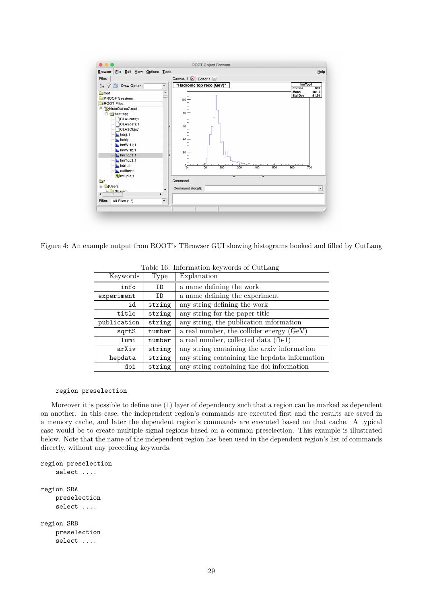

<span id="page-28-0"></span>Figure 4: An example output from ROOT's TBrowser GUI showing histograms booked and filled by CutLang

| Keywords    | Type   | Explanation                                   |  |
|-------------|--------|-----------------------------------------------|--|
| info        | ID     | a name defining the work                      |  |
| experiment  | ID     | a name defining the experiment                |  |
| id          | string | any string defining the work                  |  |
| title       | string | any string for the paper title                |  |
| publication | string | any string, the publication information       |  |
| sqrtS       | number | a real number, the collider energy (GeV)      |  |
| lumi        | number | a real number, collected data (fb-1)          |  |
| arXiv       | string | any string containing the arxiv information   |  |
| hepdata     | string | any string containing the hepdata information |  |
| doi         | string | any string containing the doi information     |  |

<span id="page-28-1"></span>Table 16: Information keywords of CutLang

### region preselection

Moreover it is possible to define one (1) layer of dependency such that a region can be marked as dependent on another. In this case, the independent region's commands are executed first and the results are saved in a memory cache, and later the dependent region's commands are executed based on that cache. A typical case would be to create multiple signal regions based on a common preselection. This example is illustrated below. Note that the name of the independent region has been used in the dependent region's list of commands directly, without any preceding keywords.

```
region preselection
    select ....
region SRA
    preselection
    select ....
region SRB
    preselection
    select ....
```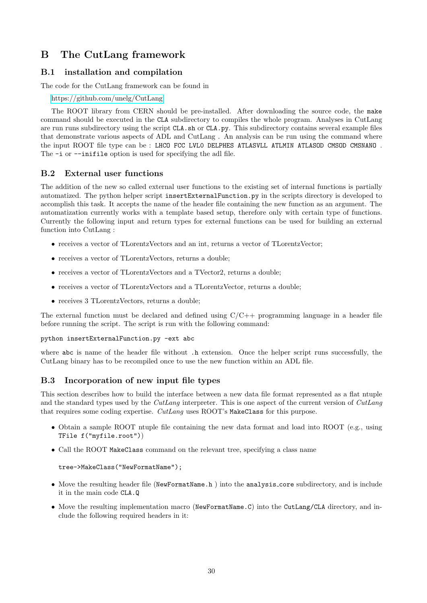# <span id="page-29-0"></span>B The CutLang framework

## <span id="page-29-1"></span>B.1 installation and compilation

The code for the CutLang framework can be found in

<https://github.com/unelg/CutLang>

The ROOT library from CERN should be pre-installed. After downloading the source code, the make command should be executed in the CLA subdirectory to compiles the whole program. Analyses in CutLang are run runs subdirectory using the script CLA.sh or CLA.py. This subdirectory contains several example files that demonstrate various aspects of ADL and CutLang . An analysis can be run using the command where the input ROOT file type can be : LHCO FCC LVLO DELPHES ATLASVLL ATLMIN ATLASOD CMSOD CMSNANO. The  $-i$  or  $-i$ nifile option is used for specifying the adl file.

## <span id="page-29-2"></span>B.2 External user functions

The addition of the new so called external user functions to the existing set of internal functions is partially automatized. The python helper script insertExternalFunction.py in the scripts directory is developed to accomplish this task. It accepts the name of the header file containing the new function as an argument. The automatization currently works with a template based setup, therefore only with certain type of functions. Currently the following input and return types for external functions can be used for building an external function into CutLang :

- receives a vector of TLorentzVectors and an int, returns a vector of TLorentzVector;
- receives a vector of TLorentzVectors, returns a double;
- receives a vector of TLorentzVectors and a TVector2, returns a double;
- receives a vector of TLorentzVectors and a TLorentzVector, returns a double;
- receives 3 TLorentzVectors, returns a double;

The external function must be declared and defined using  $C/C++$  programming language in a header file before running the script. The script is run with the following command:

python insertExternalFunction.py -ext abc

where abc is name of the header file without .h extension. Once the helper script runs successfully, the CutLang binary has to be recompiled once to use the new function within an ADL file.

## <span id="page-29-3"></span>B.3 Incorporation of new input file types

This section describes how to build the interface between a new data file format represented as a flat ntuple and the standard types used by the *CutLang* interpreter. This is one aspect of the current version of *CutLang* that requires some coding expertise. CutLang uses ROOT's MakeClass for this purpose.

- Obtain a sample ROOT ntuple file containing the new data format and load into ROOT (e.g., using TFile f("myfile.root"))
- Call the ROOT MakeClass command on the relevant tree, specifying a class name

tree->MakeClass("NewFormatName");

- Move the resulting header file (NewFormatName.h ) into the analysis core subdirectory, and is include it in the main code CLA.Q
- Move the resulting implementation macro (NewFormatName.C) into the CutLang/CLA directory, and include the following required headers in it: